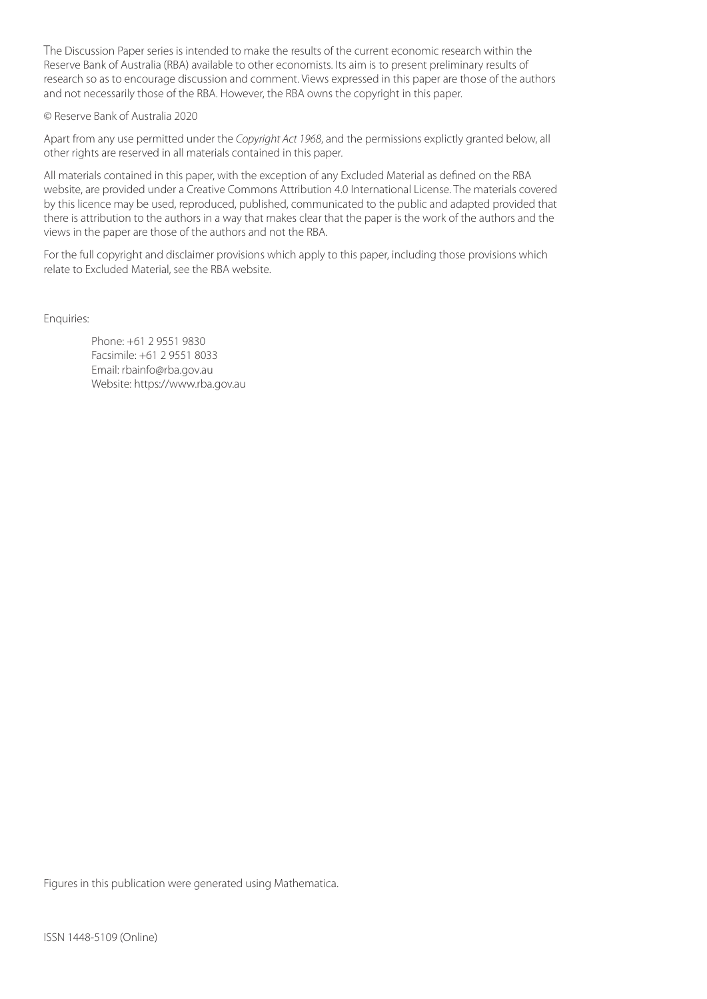The Discussion Paper series is intended to make the results of the current economic research within the Reserve Bank of Australia (RBA) available to other economists. Its aim is to present preliminary results of research so as to encourage discussion and comment. Views expressed in this paper are those of the authors and not necessarily those of the RBA. However, the RBA owns the copyright in this paper.

#### © Reserve Bank of Australia 2020

Apart from any use permitted under the *Copyright Act 1968*, and the permissions explictly granted below, all other rights are reserved in all materials contained in this paper.

All materials contained in this paper, with the exception of any Excluded Material as defined on the RBA website, are provided under a Creative Commons Attribution 4.0 International License. The materials covered by this licence may be used, reproduced, published, communicated to the public and adapted provided that there is attribution to the authors in a way that makes clear that the paper is the work of the authors and the views in the paper are those of the authors and not the RBA.

For the full copyright and disclaimer provisions which apply to this paper, including those provisions which relate to Excluded Material, see the RBA website.

Enquiries:

Phone: +61 2 9551 9830 Facsimile: +61 2 9551 8033 Email: rbainfo@rba.gov.au Website: https://www.rba.gov.au

Figures in this publication were generated using Mathematica.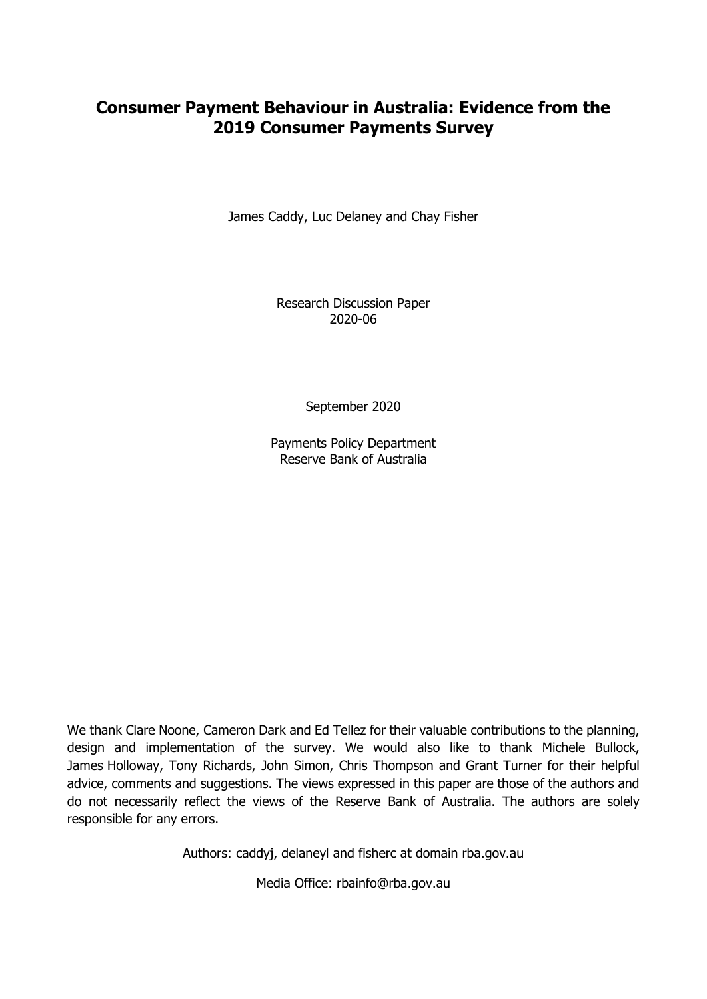# **Consumer Payment Behaviour in Australia: Evidence from the 2019 Consumer Payments Survey**

James Caddy, Luc Delaney and Chay Fisher

Research Discussion Paper 2020-06

September 2020

Payments Policy Department Reserve Bank of Australia

We thank Clare Noone, Cameron Dark and Ed Tellez for their valuable contributions to the planning, design and implementation of the survey. We would also like to thank Michele Bullock, James Holloway, Tony Richards, John Simon, Chris Thompson and Grant Turner for their helpful advice, comments and suggestions. The views expressed in this paper are those of the authors and do not necessarily reflect the views of the Reserve Bank of Australia. The authors are solely responsible for any errors.

Authors: caddyj, delaneyl and fisherc at domain rba.gov.au

Media Office: rbainfo@rba.gov.au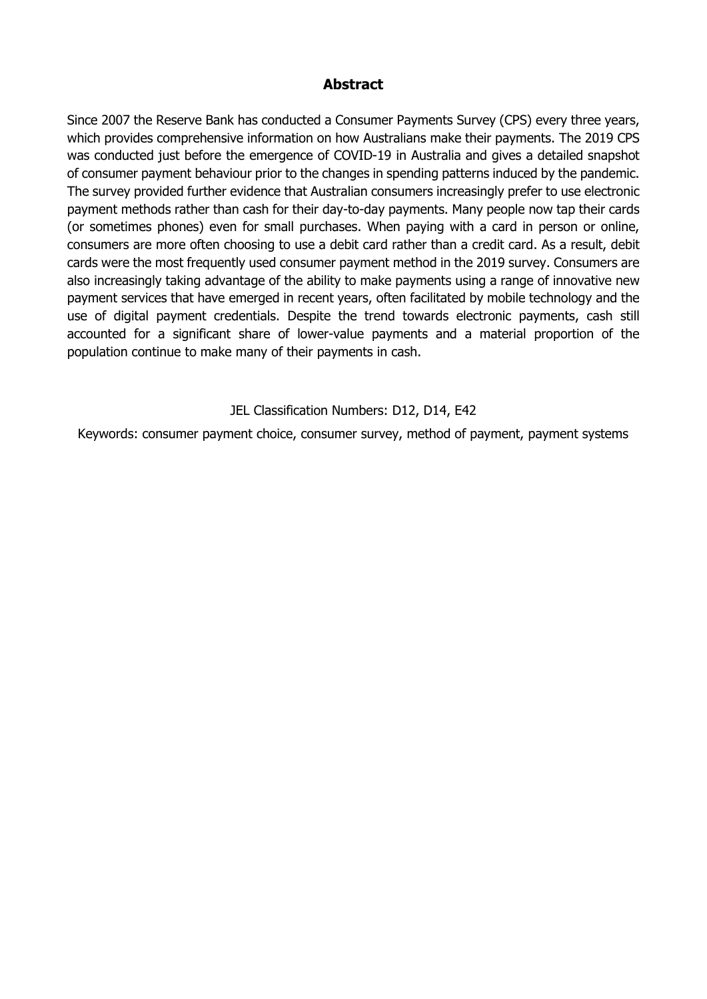### **Abstract**

Since 2007 the Reserve Bank has conducted a Consumer Payments Survey (CPS) every three years, which provides comprehensive information on how Australians make their payments. The 2019 CPS was conducted just before the emergence of COVID-19 in Australia and gives a detailed snapshot of consumer payment behaviour prior to the changes in spending patterns induced by the pandemic. The survey provided further evidence that Australian consumers increasingly prefer to use electronic payment methods rather than cash for their day-to-day payments. Many people now tap their cards (or sometimes phones) even for small purchases. When paying with a card in person or online, consumers are more often choosing to use a debit card rather than a credit card. As a result, debit cards were the most frequently used consumer payment method in the 2019 survey. Consumers are also increasingly taking advantage of the ability to make payments using a range of innovative new payment services that have emerged in recent years, often facilitated by mobile technology and the use of digital payment credentials. Despite the trend towards electronic payments, cash still accounted for a significant share of lower-value payments and a material proportion of the population continue to make many of their payments in cash.

JEL Classification Numbers: D12, D14, E42

Keywords: consumer payment choice, consumer survey, method of payment, payment systems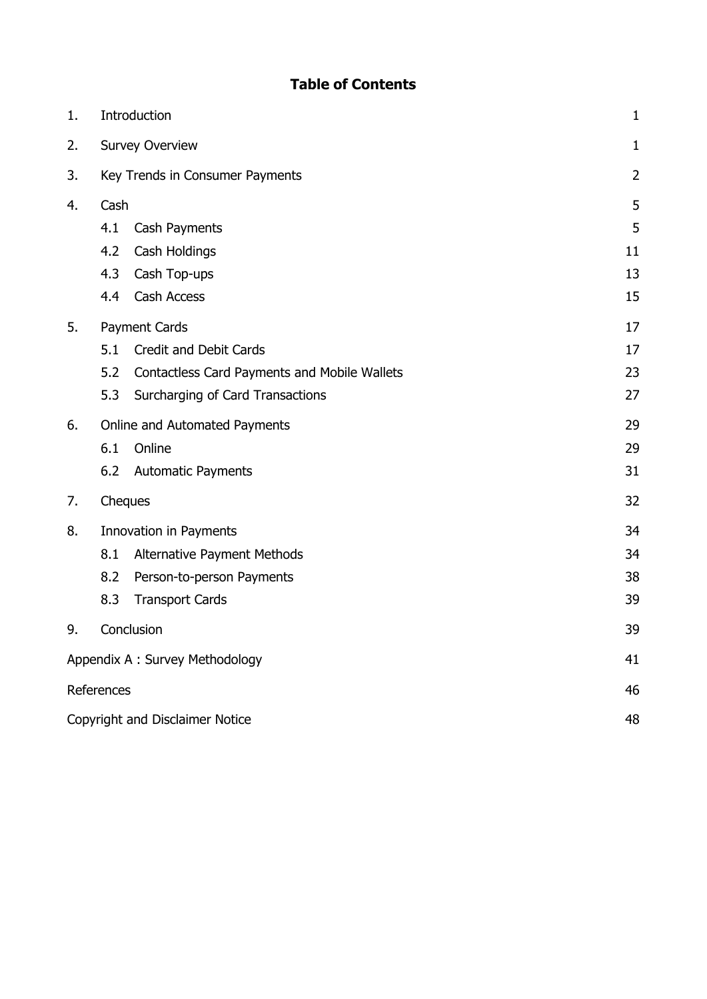# **Table of Contents**

| 1. | Introduction                     |                                              |              |
|----|----------------------------------|----------------------------------------------|--------------|
| 2. | <b>Survey Overview</b>           |                                              | $\mathbf{1}$ |
| 3. |                                  | Key Trends in Consumer Payments              | 2            |
| 4. | Cash                             |                                              | 5            |
|    | 4.1<br>Cash Payments             |                                              | 5            |
|    | Cash Holdings<br>4.2             |                                              | 11           |
|    | 4.3<br>Cash Top-ups              |                                              | 13           |
|    | Cash Access<br>4.4               |                                              | 15           |
| 5. | Payment Cards                    |                                              | 17           |
|    | 5.1                              | <b>Credit and Debit Cards</b>                | 17           |
|    | 5.2                              | Contactless Card Payments and Mobile Wallets | 23           |
|    | 5.3                              | Surcharging of Card Transactions             | 27           |
| 6. |                                  | Online and Automated Payments                | 29           |
|    | 6.1<br>Online                    |                                              | 29           |
|    | 6.2<br><b>Automatic Payments</b> |                                              | 31           |
| 7. | Cheques                          |                                              | 32           |
| 8. | Innovation in Payments           |                                              | 34           |
|    | 8.1                              | Alternative Payment Methods                  | 34           |
|    | 8.2                              | Person-to-person Payments                    | 38           |
|    | 8.3<br><b>Transport Cards</b>    |                                              | 39           |
| 9. | Conclusion                       |                                              | 39           |
|    | Appendix A: Survey Methodology   |                                              | 41           |
|    | References                       |                                              | 46           |
|    | Copyright and Disclaimer Notice  |                                              | 48           |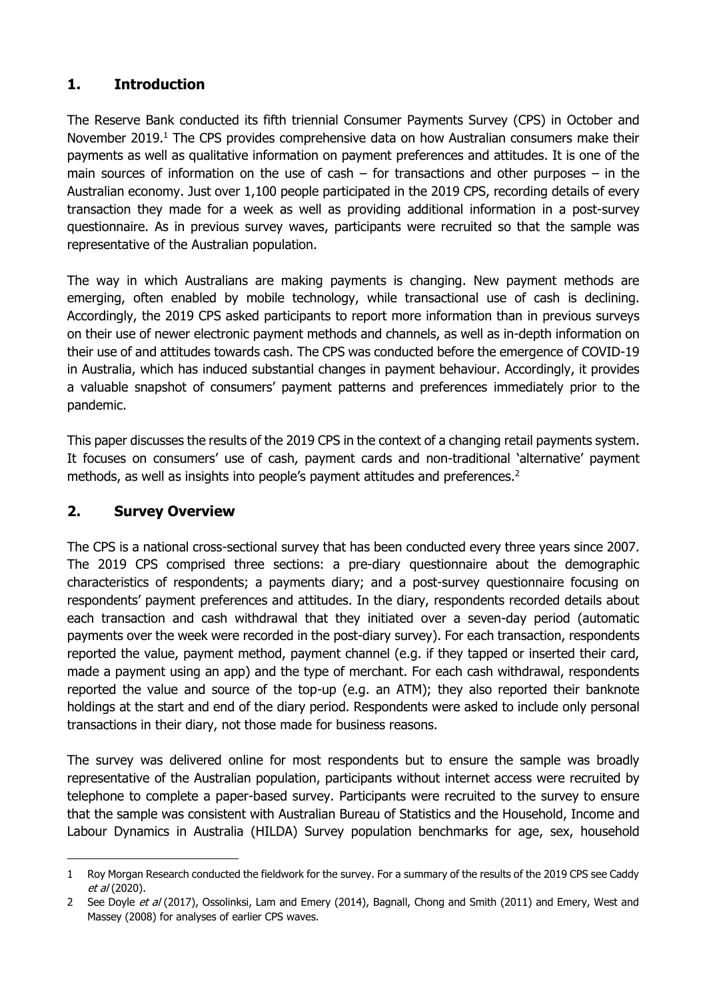## <span id="page-6-0"></span>**1. Introduction**

The Reserve Bank conducted its fifth triennial Consumer Payments Survey (CPS) in October and November 2019.<sup>1</sup> The CPS provides comprehensive data on how Australian consumers make their payments as well as qualitative information on payment preferences and attitudes. It is one of the main sources of information on the use of cash – for transactions and other purposes – in the Australian economy. Just over 1,100 people participated in the 2019 CPS, recording details of every transaction they made for a week as well as providing additional information in a post-survey questionnaire. As in previous survey waves, participants were recruited so that the sample was representative of the Australian population.

The way in which Australians are making payments is changing. New payment methods are emerging, often enabled by mobile technology, while transactional use of cash is declining. Accordingly, the 2019 CPS asked participants to report more information than in previous surveys on their use of newer electronic payment methods and channels, as well as in-depth information on their use of and attitudes towards cash. The CPS was conducted before the emergence of COVID-19 in Australia, which has induced substantial changes in payment behaviour. Accordingly, it provides a valuable snapshot of consumers' payment patterns and preferences immediately prior to the pandemic.

This paper discusses the results of the 2019 CPS in the context of a changing retail payments system. It focuses on consumers' use of cash, payment cards and non-traditional 'alternative' payment methods, as well as insights into people's payment attitudes and preferences.<sup>2</sup>

## <span id="page-6-1"></span>**2. Survey Overview**

-

The CPS is a national cross-sectional survey that has been conducted every three years since 2007. The 2019 CPS comprised three sections: a pre-diary questionnaire about the demographic characteristics of respondents; a payments diary; and a post-survey questionnaire focusing on respondents' payment preferences and attitudes. In the diary, respondents recorded details about each transaction and cash withdrawal that they initiated over a seven-day period (automatic payments over the week were recorded in the post-diary survey). For each transaction, respondents reported the value, payment method, payment channel (e.g. if they tapped or inserted their card, made a payment using an app) and the type of merchant. For each cash withdrawal, respondents reported the value and source of the top-up (e.g. an ATM); they also reported their banknote holdings at the start and end of the diary period. Respondents were asked to include only personal transactions in their diary, not those made for business reasons.

The survey was delivered online for most respondents but to ensure the sample was broadly representative of the Australian population, participants without internet access were recruited by telephone to complete a paper-based survey. Participants were recruited to the survey to ensure that the sample was consistent with Australian Bureau of Statistics and the Household, Income and Labour Dynamics in Australia (HILDA) Survey population benchmarks for age, sex, household

<sup>1</sup> Roy Morgan Research conducted the fieldwork for the survey. For a summary of the results of the 2019 CPS see Caddy et al (2020).

<sup>2</sup> See Doyle et al (2017), Ossolinksi, Lam and Emery (2014), Bagnall, Chong and Smith (2011) and Emery, West and Massey (2008) for analyses of earlier CPS waves.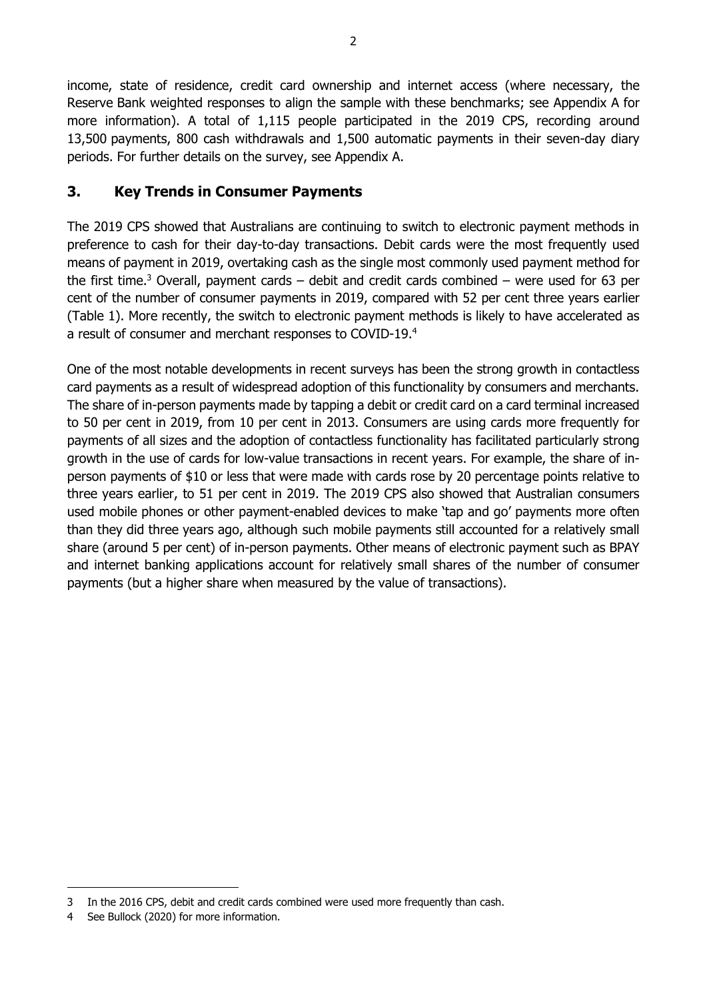income, state of residence, credit card ownership and internet access (where necessary, the Reserve Bank weighted responses to align the sample with these benchmarks; see [Appendix A](#page-46-0) for more information). A total of 1,115 people participated in the 2019 CPS, recording around 13,500 payments, 800 cash withdrawals and 1,500 automatic payments in their seven-day diary periods. For further details on the survey, see Appendix A.

### <span id="page-7-0"></span>**3. Key Trends in Consumer Payments**

The 2019 CPS showed that Australians are continuing to switch to electronic payment methods in preference to cash for their day-to-day transactions. Debit cards were the most frequently used means of payment in 2019, overtaking cash as the single most commonly used payment method for the first time.<sup>3</sup> Overall, payment cards – debit and credit cards combined – were used for 63 per cent of the number of consumer payments in 2019, compared with 52 per cent three years earlier (Table 1). More recently, the switch to electronic payment methods is likely to have accelerated as a result of consumer and merchant responses to COVID-19. 4

One of the most notable developments in recent surveys has been the strong growth in contactless card payments as a result of widespread adoption of this functionality by consumers and merchants. The share of in-person payments made by tapping a debit or credit card on a card terminal increased to 50 per cent in 2019, from 10 per cent in 2013. Consumers are using cards more frequently for payments of all sizes and the adoption of contactless functionality has facilitated particularly strong growth in the use of cards for low-value transactions in recent years. For example, the share of inperson payments of \$10 or less that were made with cards rose by 20 percentage points relative to three years earlier, to 51 per cent in 2019. The 2019 CPS also showed that Australian consumers used mobile phones or other payment-enabled devices to make 'tap and go' payments more often than they did three years ago, although such mobile payments still accounted for a relatively small share (around 5 per cent) of in-person payments. Other means of electronic payment such as BPAY and internet banking applications account for relatively small shares of the number of consumer payments (but a higher share when measured by the value of transactions).

-

<sup>3</sup> In the 2016 CPS, debit and credit cards combined were used more frequently than cash.

<sup>4</sup> See Bullock (2020) for more information.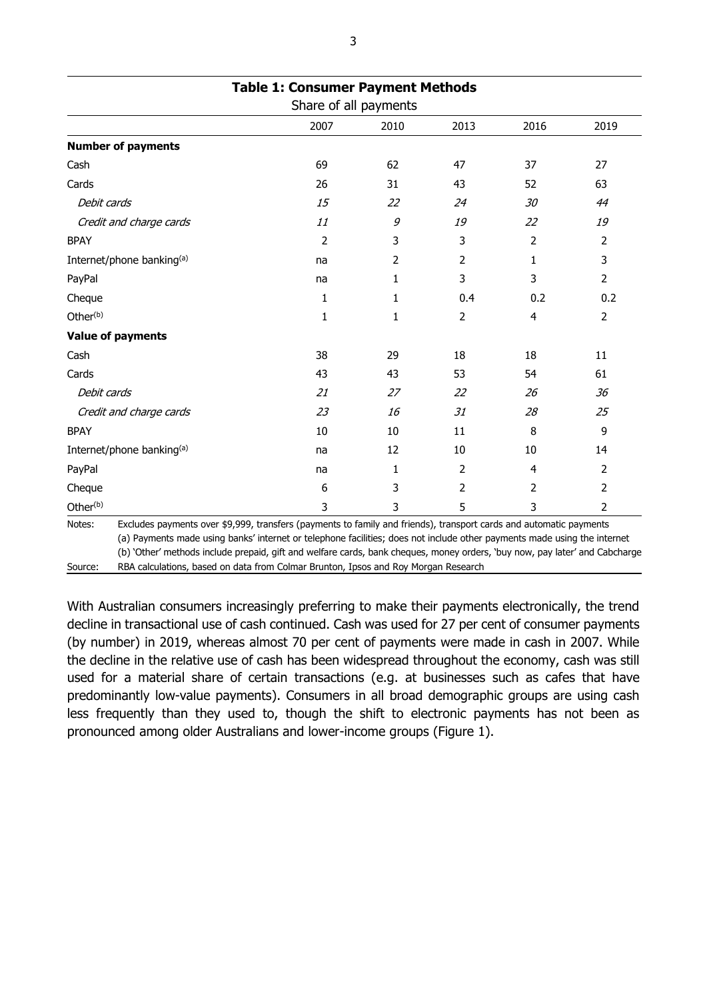|                           | Share of all payments |      |      |      |                |
|---------------------------|-----------------------|------|------|------|----------------|
|                           | 2007                  | 2010 | 2013 | 2016 | 2019           |
| <b>Number of payments</b> |                       |      |      |      |                |
| Cash                      | 69                    | 62   | 47   | 37   | 27             |
| Cards                     | 26                    | 31   | 43   | 52   | 63             |
| Debit cards               | 15                    | 22   | 24   | 30   | 44             |
| Credit and charge cards   | 11                    | 9    | 19   | 22   | 19             |
| <b>BPAY</b>               | 2                     | 3    | 3    | 2    | $\overline{2}$ |
| Internet/phone banking(a) | na                    | 2    | 2    | 1    | 3              |
| PayPal                    | na                    | 1    | 3    | 3    | $\overline{2}$ |
| Cheque                    | 1                     | 1    | 0.4  | 0.2  | 0.2            |
| Other <sup>(b)</sup>      | 1                     | 1    | 2    | 4    | $\overline{2}$ |
| <b>Value of payments</b>  |                       |      |      |      |                |
| Cash                      | 38                    | 29   | 18   | 18   | 11             |
| Cards                     | 43                    | 43   | 53   | 54   | 61             |
| Debit cards               | 21                    | 27   | 22   | 26   | 36             |
| Credit and charge cards   | 23                    | 16   | 31   | 28   | 25             |
| <b>BPAY</b>               | 10                    | 10   | 11   | 8    | 9              |
| Internet/phone banking(a) | na                    | 12   | 10   | 10   | 14             |
| PayPal                    | na                    | 1    | 2    | 4    | $\overline{2}$ |
| Cheque                    | 6                     | 3    | 2    | 2    | $\overline{2}$ |
| Other <sup>(b)</sup>      | 3                     | 3    | 5    | 3    | $\overline{2}$ |

(b) 'Other' methods include prepaid, gift and welfare cards, bank cheques, money orders, 'buy now, pay later' and Cabcharge

Source: RBA calculations, based on data from Colmar Brunton, Ipsos and Roy Morgan Research

With Australian consumers increasingly preferring to make their payments electronically, the trend decline in transactional use of cash continued. Cash was used for 27 per cent of consumer payments (by number) in 2019, whereas almost 70 per cent of payments were made in cash in 2007. While the decline in the relative use of cash has been widespread throughout the economy, cash was still used for a material share of certain transactions (e.g. at businesses such as cafes that have predominantly low-value payments). Consumers in all broad demographic groups are using cash less frequently than they used to, though the shift to electronic payments has not been as pronounced among older Australians and lower-income groups (Figure 1).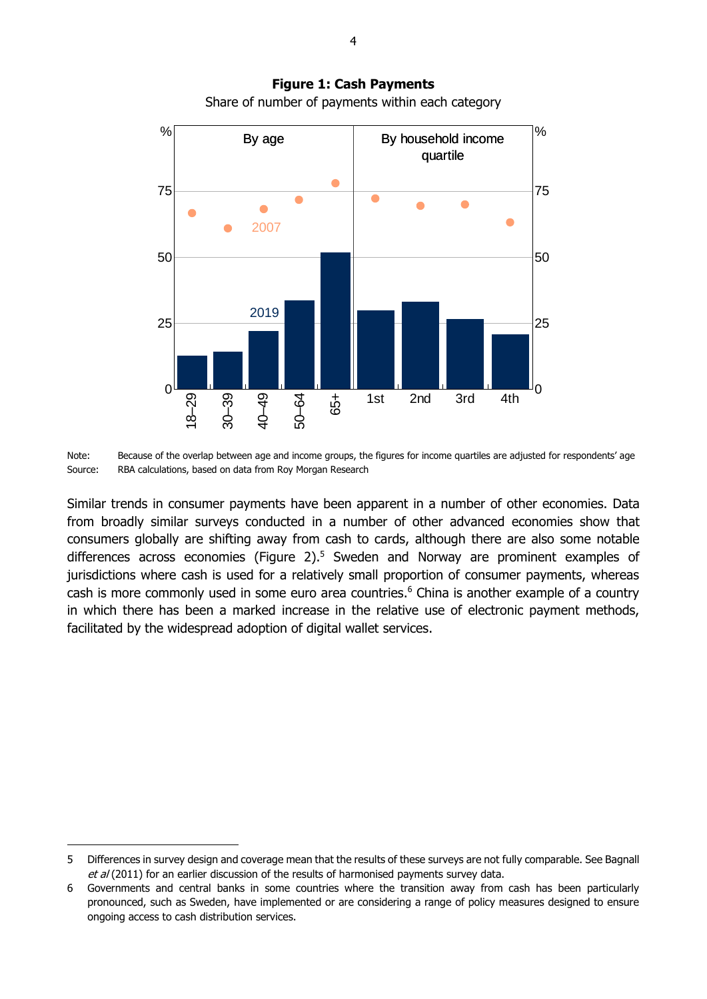

**Figure 1: Cash Payments** Share of number of payments within each category

Note: Because of the overlap between age and income groups, the figures for income quartiles are adjusted for respondents' age Source: RBA calculations, based on data from Roy Morgan Research

Similar trends in consumer payments have been apparent in a number of other economies. Data from broadly similar surveys conducted in a number of other advanced economies show that consumers globally are shifting away from cash to cards, although there are also some notable differences across economies (Figure 2).<sup>5</sup> Sweden and Norway are prominent examples of jurisdictions where cash is used for a relatively small proportion of consumer payments, whereas cash is more commonly used in some euro area countries. <sup>6</sup> China is another example of a country in which there has been a marked increase in the relative use of electronic payment methods, facilitated by the widespread adoption of digital wallet services.

-

<sup>5</sup> Differences in survey design and coverage mean that the results of these surveys are not fully comparable. See Bagnall et al (2011) for an earlier discussion of the results of harmonised payments survey data.

<sup>6</sup> Governments and central banks in some countries where the transition away from cash has been particularly pronounced, such as Sweden, have implemented or are considering a range of policy measures designed to ensure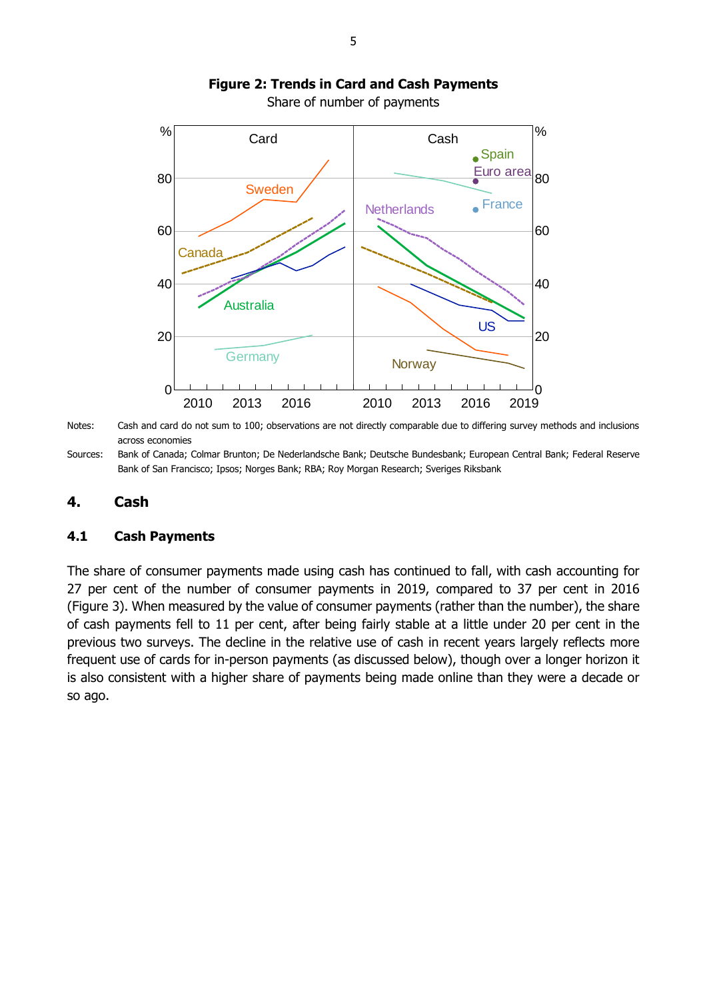

# **Figure 2: Trends in Card and Cash Payments**

Share of number of payments

Notes: Cash and card do not sum to 100; observations are not directly comparable due to differing survey methods and inclusions across economies

Sources: Bank of Canada; Colmar Brunton; De Nederlandsche Bank; Deutsche Bundesbank; European Central Bank; Federal Reserve Bank of San Francisco; Ipsos; Norges Bank; RBA; Roy Morgan Research; Sveriges Riksbank

### <span id="page-10-0"></span>**4. Cash**

### <span id="page-10-1"></span>**4.1 Cash Payments**

The share of consumer payments made using cash has continued to fall, with cash accounting for 27 per cent of the number of consumer payments in 2019, compared to 37 per cent in 2016 (Figure 3). When measured by the value of consumer payments (rather than the number), the share of cash payments fell to 11 per cent, after being fairly stable at a little under 20 per cent in the previous two surveys. The decline in the relative use of cash in recent years largely reflects more frequent use of cards for in-person payments (as discussed below), though over a longer horizon it is also consistent with a higher share of payments being made online than they were a decade or so ago.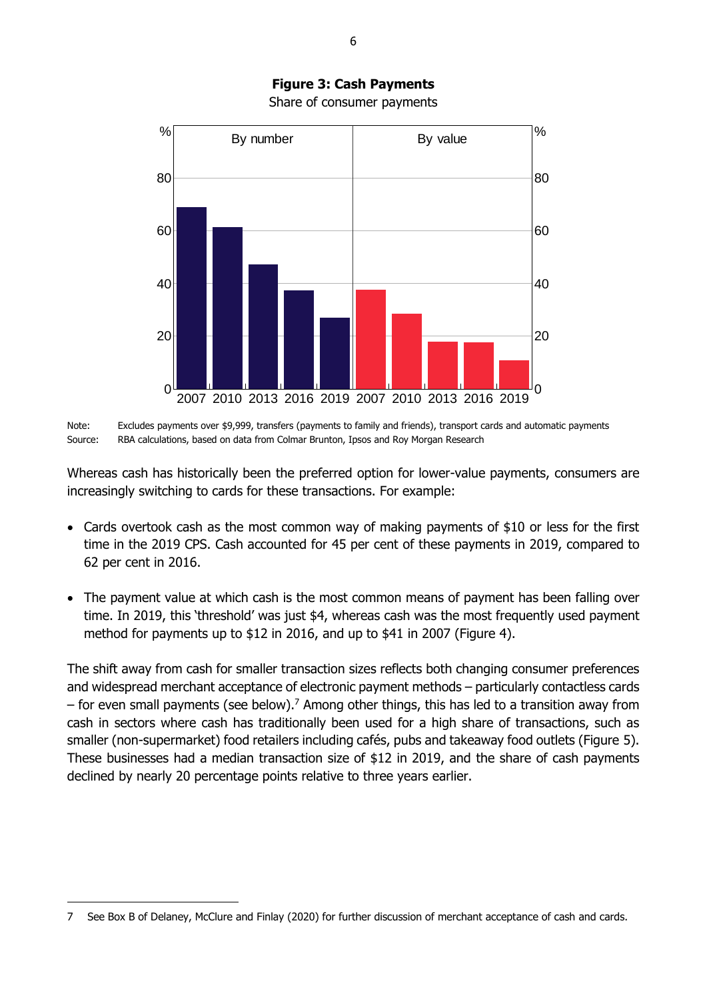

Note: Excludes payments over \$9,999, transfers (payments to family and friends), transport cards and automatic payments Source: RBA calculations, based on data from Colmar Brunton, Ipsos and Roy Morgan Research

Whereas cash has historically been the preferred option for lower-value payments, consumers are increasingly switching to cards for these transactions. For example:

- Cards overtook cash as the most common way of making payments of \$10 or less for the first time in the 2019 CPS. Cash accounted for 45 per cent of these payments in 2019, compared to 62 per cent in 2016.
- The payment value at which cash is the most common means of payment has been falling over time. In 2019, this 'threshold' was just \$4, whereas cash was the most frequently used payment method for payments up to \$12 in 2016, and up to \$41 in 2007 (Figure 4).

The shift away from cash for smaller transaction sizes reflects both changing consumer preferences and widespread merchant acceptance of electronic payment methods – particularly contactless cards – for even small payments (see below).<sup>7</sup> Among other things, this has led to a transition away from cash in sectors where cash has traditionally been used for a high share of transactions, such as smaller (non-supermarket) food retailers including cafés, pubs and takeaway food outlets (Figure 5). These businesses had a median transaction size of \$12 in 2019, and the share of cash payments declined by nearly 20 percentage points relative to three years earlier.

-

**Figure 3: Cash Payments** Share of consumer payments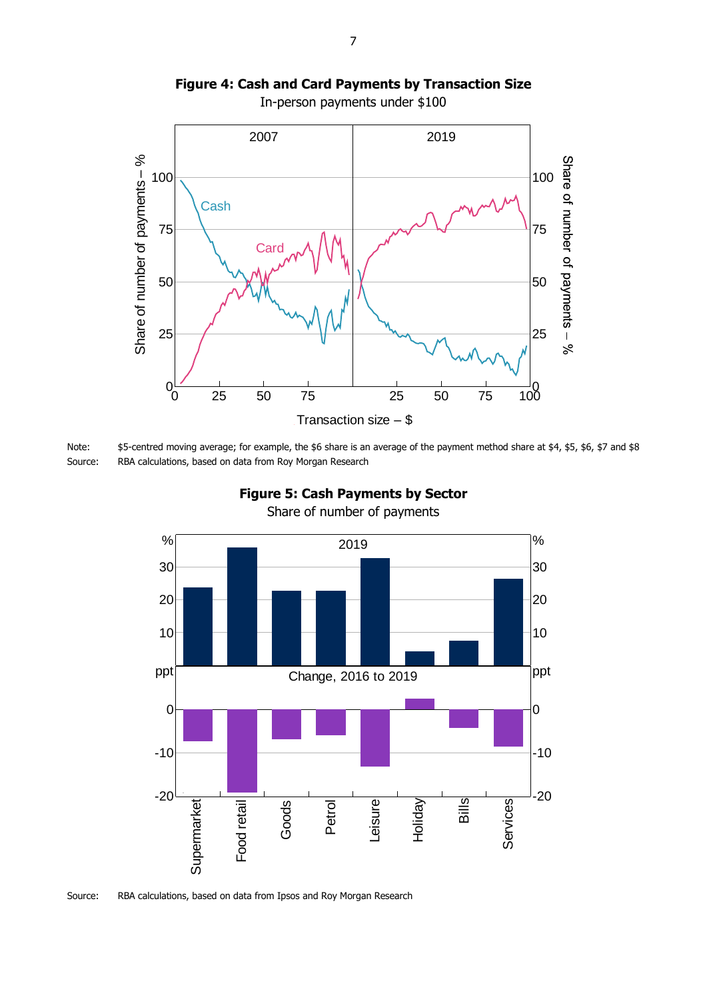

**Figure 4: Cash and Card Payments by Transaction Size**

In-person payments under \$100

Note: \$5-centred moving average; for example, the \$6 share is an average of the payment method share at \$4, \$5, \$6, \$7 and \$8 Source: RBA calculations, based on data from Roy Morgan Research



**Figure 5: Cash Payments by Sector** Share of number of payments

Source: RBA calculations, based on data from Ipsos and Roy Morgan Research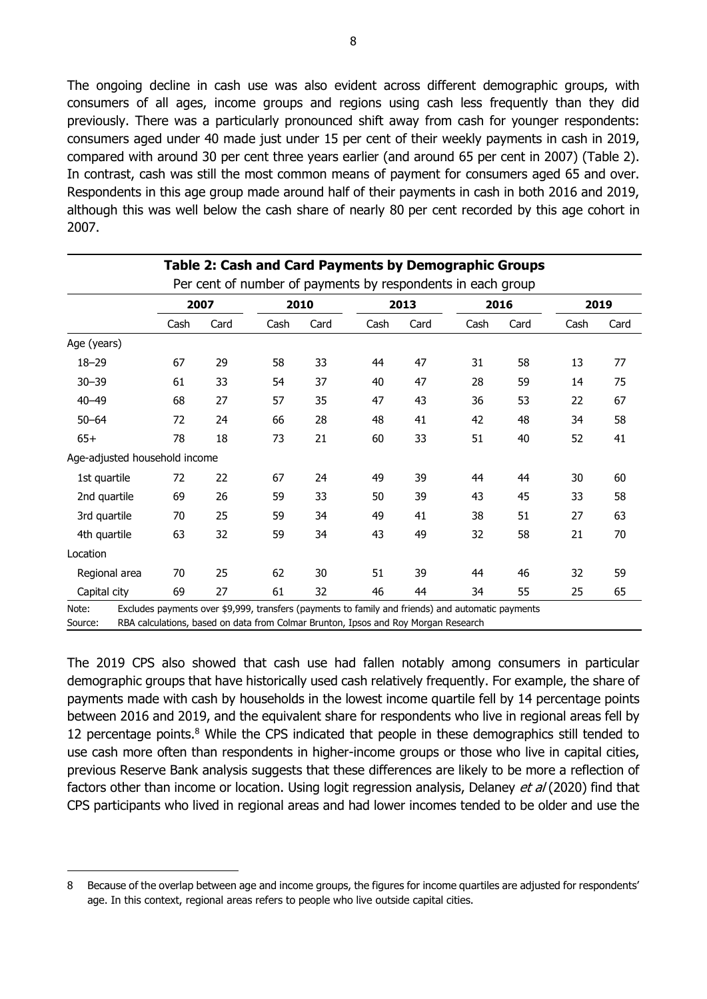The ongoing decline in cash use was also evident across different demographic groups, with consumers of all ages, income groups and regions using cash less frequently than they did previously. There was a particularly pronounced shift away from cash for younger respondents: consumers aged under 40 made just under 15 per cent of their weekly payments in cash in 2019, compared with around 30 per cent three years earlier (and around 65 per cent in 2007) (Table 2). In contrast, cash was still the most common means of payment for consumers aged 65 and over. Respondents in this age group made around half of their payments in cash in both 2016 and 2019, although this was well below the cash share of nearly 80 per cent recorded by this age cohort in 2007.

|                               |      | 2007 | 2010 |      | 2013 |      | 2016 |      | 2019 |      |
|-------------------------------|------|------|------|------|------|------|------|------|------|------|
|                               | Cash | Card | Cash | Card | Cash | Card | Cash | Card | Cash | Card |
| Age (years)                   |      |      |      |      |      |      |      |      |      |      |
| $18 - 29$                     | 67   | 29   | 58   | 33   | 44   | 47   | 31   | 58   | 13   | 77   |
| $30 - 39$                     | 61   | 33   | 54   | 37   | 40   | 47   | 28   | 59   | 14   | 75   |
| $40 - 49$                     | 68   | 27   | 57   | 35   | 47   | 43   | 36   | 53   | 22   | 67   |
| $50 - 64$                     | 72   | 24   | 66   | 28   | 48   | 41   | 42   | 48   | 34   | 58   |
| $65+$                         | 78   | 18   | 73   | 21   | 60   | 33   | 51   | 40   | 52   | 41   |
| Age-adjusted household income |      |      |      |      |      |      |      |      |      |      |
| 1st quartile                  | 72   | 22   | 67   | 24   | 49   | 39   | 44   | 44   | 30   | 60   |
| 2nd quartile                  | 69   | 26   | 59   | 33   | 50   | 39   | 43   | 45   | 33   | 58   |
| 3rd quartile                  | 70   | 25   | 59   | 34   | 49   | 41   | 38   | 51   | 27   | 63   |
| 4th quartile                  | 63   | 32   | 59   | 34   | 43   | 49   | 32   | 58   | 21   | 70   |
| Location                      |      |      |      |      |      |      |      |      |      |      |
| Regional area                 | 70   | 25   | 62   | 30   | 51   | 39   | 44   | 46   | 32   | 59   |
| Capital city                  | 69   | 27   | 61   | 32   | 46   | 44   | 34   | 55   | 25   | 65   |

The 2019 CPS also showed that cash use had fallen notably among consumers in particular demographic groups that have historically used cash relatively frequently. For example, the share of payments made with cash by households in the lowest income quartile fell by 14 percentage points between 2016 and 2019, and the equivalent share for respondents who live in regional areas fell by 12 percentage points.<sup>8</sup> While the CPS indicated that people in these demographics still tended to use cash more often than respondents in higher-income groups or those who live in capital cities, previous Reserve Bank analysis suggests that these differences are likely to be more a reflection of factors other than income or location. Using logit regression analysis, Delaney et al (2020) find that CPS participants who lived in regional areas and had lower incomes tended to be older and use the

-

<sup>8</sup> Because of the overlap between age and income groups, the figures for income quartiles are adjusted for respondents' age. In this context, regional areas refers to people who live outside capital cities.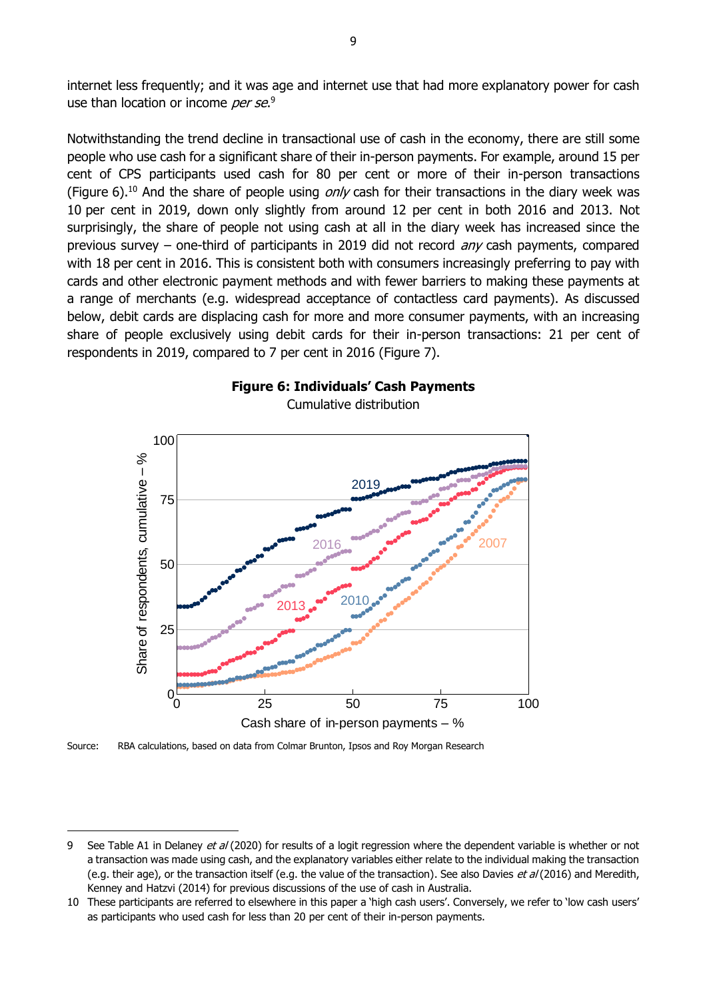internet less frequently; and it was age and internet use that had more explanatory power for cash use than location or income *per se*.<sup>9</sup>

Notwithstanding the trend decline in transactional use of cash in the economy, there are still some people who use cash for a significant share of their in-person payments. For example, around 15 per cent of CPS participants used cash for 80 per cent or more of their in-person transactions (Figure 6).<sup>10</sup> And the share of people using *only* cash for their transactions in the diary week was 10 per cent in 2019, down only slightly from around 12 per cent in both 2016 and 2013. Not surprisingly, the share of people not using cash at all in the diary week has increased since the previous survey – one-third of participants in 2019 did not record  $anv$  cash payments, compared with 18 per cent in 2016. This is consistent both with consumers increasingly preferring to pay with cards and other electronic payment methods and with fewer barriers to making these payments at a range of merchants (e.g. widespread acceptance of contactless card payments). As discussed below, debit cards are displacing cash for more and more consumer payments, with an increasing share of people exclusively using debit cards for their in-person transactions: 21 per cent of respondents in 2019, compared to 7 per cent in 2016 (Figure 7).





Source: RBA calculations, based on data from Colmar Brunton, Ipsos and Roy Morgan Research

-

<sup>9</sup> See Table A1 in Delaney et al (2020) for results of a logit regression where the dependent variable is whether or not a transaction was made using cash, and the explanatory variables either relate to the individual making the transaction (e.g. their age), or the transaction itself (e.g. the value of the transaction). See also Davies et al (2016) and Meredith, Kenney and Hatzvi (2014) for previous discussions of the use of cash in Australia.

<sup>10</sup> These participants are referred to elsewhere in this paper a 'high cash users'. Conversely, we refer to 'low cash users' as participants who used cash for less than 20 per cent of their in-person payments.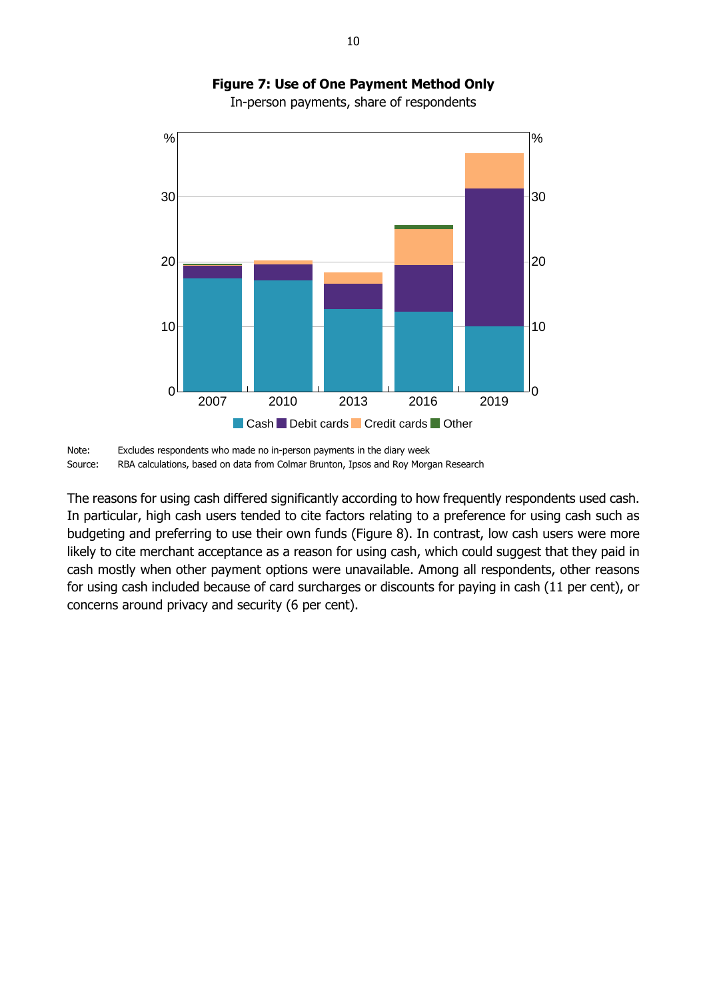

# **Figure 7: Use of One Payment Method Only**

In-person payments, share of respondents

The reasons for using cash differed significantly according to how frequently respondents used cash. In particular, high cash users tended to cite factors relating to a preference for using cash such as budgeting and preferring to use their own funds (Figure 8). In contrast, low cash users were more likely to cite merchant acceptance as a reason for using cash, which could suggest that they paid in cash mostly when other payment options were unavailable. Among all respondents, other reasons for using cash included because of card surcharges or discounts for paying in cash (11 per cent), or concerns around privacy and security (6 per cent).

Note: Excludes respondents who made no in-person payments in the diary week Source: RBA calculations, based on data from Colmar Brunton, Ipsos and Roy Morgan Research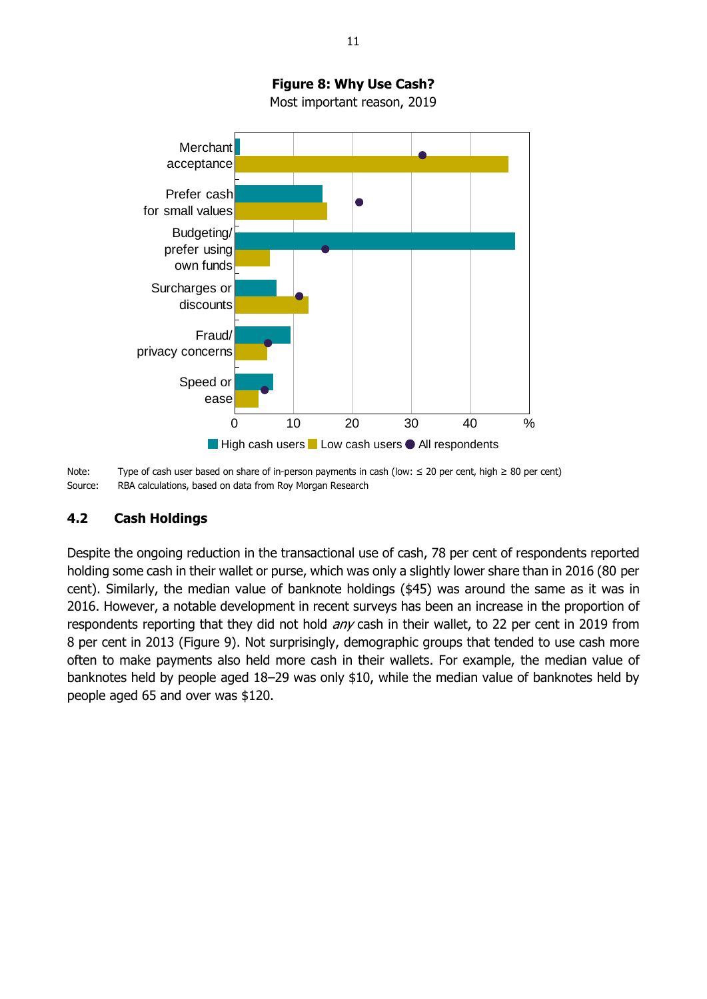

Note: Type of cash user based on share of in-person payments in cash (low: ≤ 20 per cent, high ≥ 80 per cent) Source: RBA calculations, based on data from Roy Morgan Research

#### <span id="page-16-0"></span>**4.2 Cash Holdings**

Despite the ongoing reduction in the transactional use of cash, 78 per cent of respondents reported holding some cash in their wallet or purse, which was only a slightly lower share than in 2016 (80 per cent). Similarly, the median value of banknote holdings (\$45) was around the same as it was in 2016. However, a notable development in recent surveys has been an increase in the proportion of respondents reporting that they did not hold *any* cash in their wallet, to 22 per cent in 2019 from 8 per cent in 2013 (Figure 9). Not surprisingly, demographic groups that tended to use cash more often to make payments also held more cash in their wallets. For example, the median value of banknotes held by people aged 18–29 was only \$10, while the median value of banknotes held by people aged 65 and over was \$120.

**Figure 8: Why Use Cash?**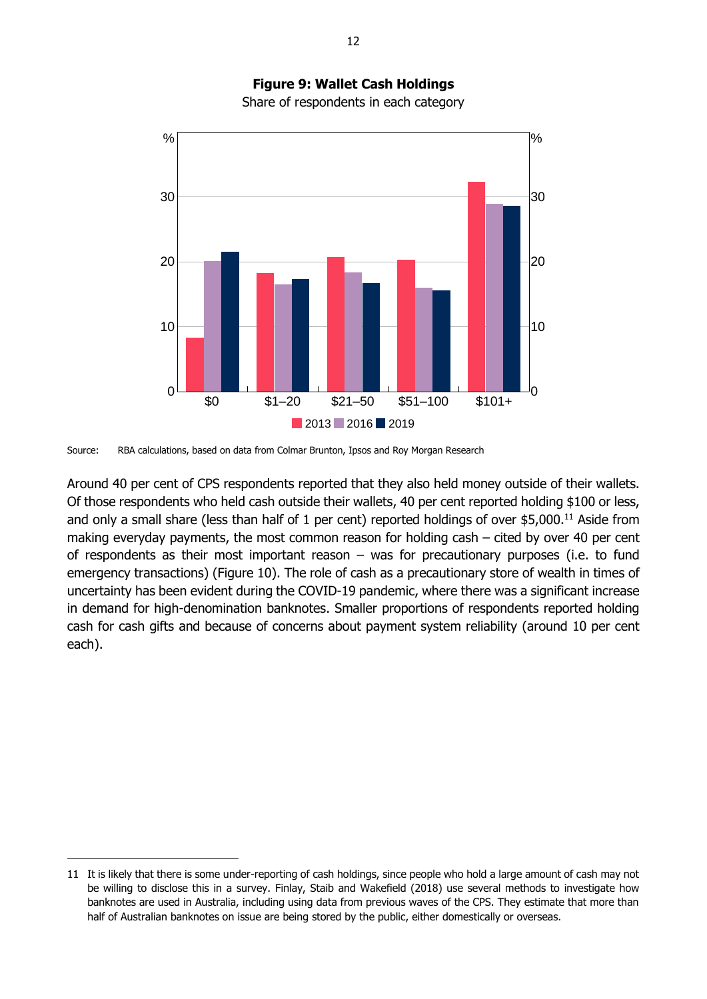

**Figure 9: Wallet Cash Holdings** Share of respondents in each category

Source: RBA calculations, based on data from Colmar Brunton, Ipsos and Roy Morgan Research

-

Around 40 per cent of CPS respondents reported that they also held money outside of their wallets. Of those respondents who held cash outside their wallets, 40 per cent reported holding \$100 or less, and only a small share (less than half of 1 per cent) reported holdings of over \$5,000.<sup>11</sup> Aside from making everyday payments, the most common reason for holding cash – cited by over 40 per cent of respondents as their most important reason – was for precautionary purposes (i.e. to fund emergency transactions) (Figure 10). The role of cash as a precautionary store of wealth in times of uncertainty has been evident during the COVID-19 pandemic, where there was a significant increase in demand for high-denomination banknotes. Smaller proportions of respondents reported holding cash for cash gifts and because of concerns about payment system reliability (around 10 per cent each).

<sup>11</sup> It is likely that there is some under-reporting of cash holdings, since people who hold a large amount of cash may not be willing to disclose this in a survey. Finlay, Staib and Wakefield (2018) use several methods to investigate how banknotes are used in Australia, including using data from previous waves of the CPS. They estimate that more than half of Australian banknotes on issue are being stored by the public, either domestically or overseas.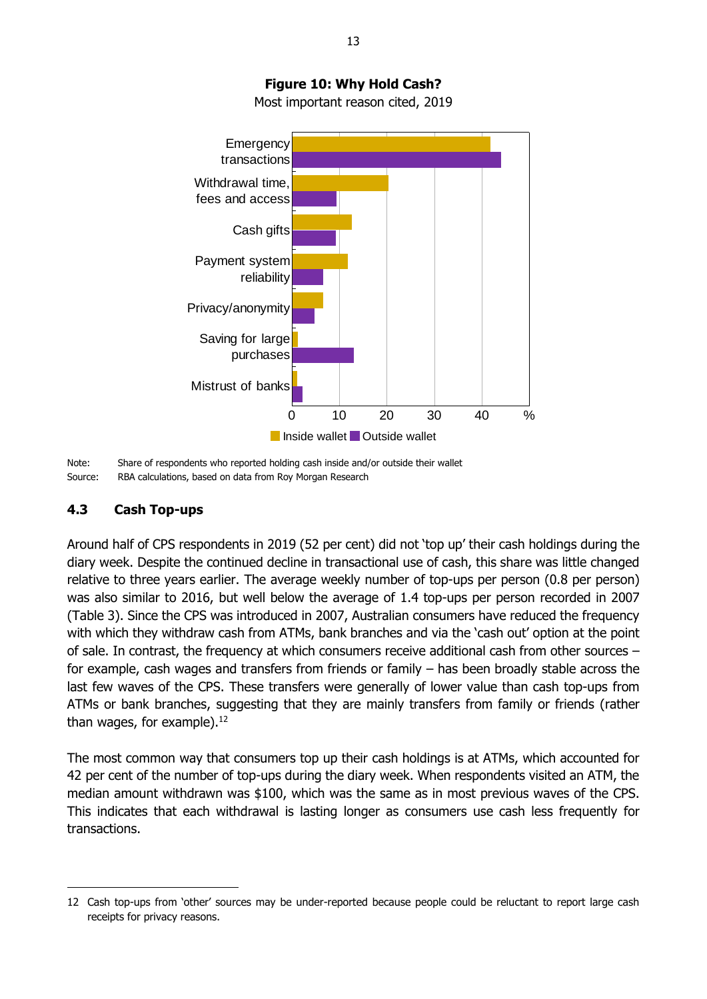

# **Figure 10: Why Hold Cash?**

Most important reason cited, 2019

### <span id="page-18-0"></span>**4.3 Cash Top-ups**

-

Around half of CPS respondents in 2019 (52 per cent) did not 'top up' their cash holdings during the diary week. Despite the continued decline in transactional use of cash, this share was little changed relative to three years earlier. The average weekly number of top-ups per person (0.8 per person) was also similar to 2016, but well below the average of 1.4 top-ups per person recorded in 2007 (Table 3). Since the CPS was introduced in 2007, Australian consumers have reduced the frequency with which they withdraw cash from ATMs, bank branches and via the 'cash out' option at the point of sale. In contrast, the frequency at which consumers receive additional cash from other sources – for example, cash wages and transfers from friends or family – has been broadly stable across the last few waves of the CPS. These transfers were generally of lower value than cash top-ups from ATMs or bank branches, suggesting that they are mainly transfers from family or friends (rather than wages, for example).<sup>12</sup>

The most common way that consumers top up their cash holdings is at ATMs, which accounted for 42 per cent of the number of top-ups during the diary week. When respondents visited an ATM, the median amount withdrawn was \$100, which was the same as in most previous waves of the CPS. This indicates that each withdrawal is lasting longer as consumers use cash less frequently for transactions.

Note: Share of respondents who reported holding cash inside and/or outside their wallet Source: RBA calculations, based on data from Roy Morgan Research

<sup>12</sup> Cash top-ups from 'other' sources may be under-reported because people could be reluctant to report large cash receipts for privacy reasons.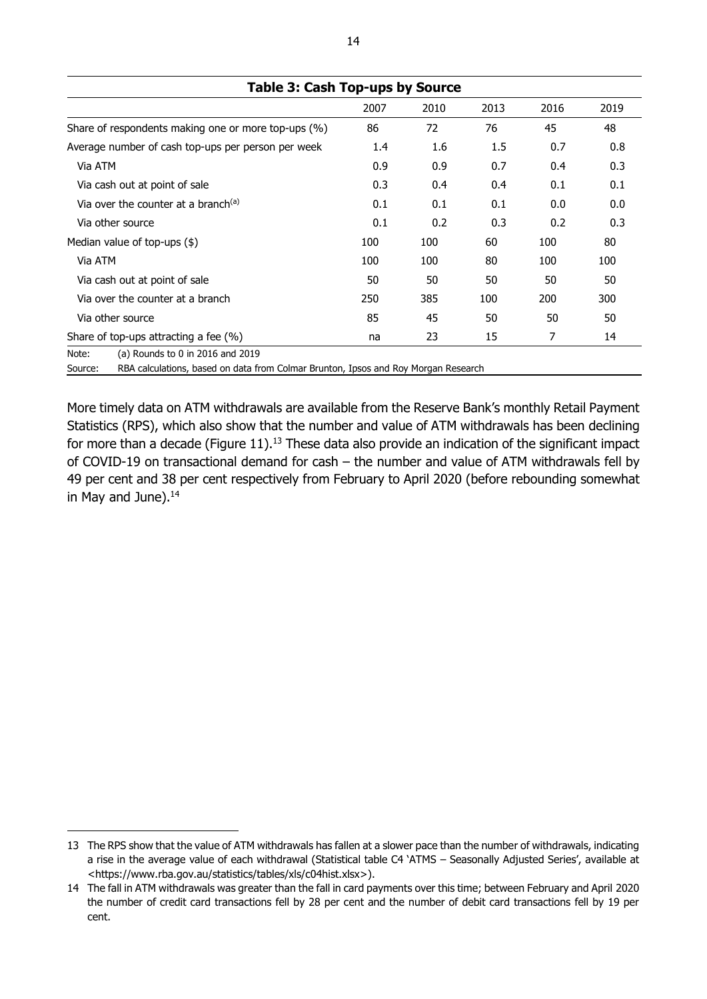| Table 3: Cash Top-ups by Source                     |         |      |      |      |      |
|-----------------------------------------------------|---------|------|------|------|------|
|                                                     | 2007    | 2010 | 2013 | 2016 | 2019 |
| Share of respondents making one or more top-ups (%) | 86      | 72   | 76   | 45   | 48   |
| Average number of cash top-ups per person per week  | $1.4\,$ | 1.6  | 1.5  | 0.7  | 0.8  |
| Via ATM                                             | 0.9     | 0.9  | 0.7  | 0.4  | 0.3  |
| Via cash out at point of sale                       | 0.3     | 0.4  | 0.4  | 0.1  | 0.1  |
| Via over the counter at a branch <sup>(a)</sup>     | 0.1     | 0.1  | 0.1  | 0.0  | 0.0  |
| Via other source                                    | 0.1     | 0.2  | 0.3  | 0.2  | 0.3  |
| Median value of top-ups $(\$)$                      | 100     | 100  | 60   | 100  | 80   |
| Via ATM                                             | 100     | 100  | 80   | 100  | 100  |
| Via cash out at point of sale                       | 50      | 50   | 50   | 50   | 50   |
| Via over the counter at a branch                    | 250     | 385  | 100  | 200  | 300  |
| Via other source                                    | 85      | 45   | 50   | 50   | 50   |
| Share of top-ups attracting a fee $(\%)$            | na      | 23   | 15   | 7    | 14   |
| Note:<br>(a) Rounds to 0 in 2016 and 2019           |         |      |      |      |      |

**Table 3: Cash Top-ups by Source**

Source: RBA calculations, based on data from Colmar Brunton, Ipsos and Roy Morgan Research

More timely data on ATM withdrawals are available from the Reserve Bank's monthly Retail Payment Statistics (RPS), which also show that the number and value of ATM withdrawals has been declining for more than a decade (Figure 11).<sup>13</sup> These data also provide an indication of the significant impact of COVID-19 on transactional demand for cash – the number and value of ATM withdrawals fell by 49 per cent and 38 per cent respectively from February to April 2020 (before rebounding somewhat in May and June). 14

-

<sup>13</sup> The RPS show that the value of ATM withdrawals has fallen at a slower pace than the number of withdrawals, indicating a rise in the average value of each withdrawal (Statistical table C4 'ATMS – Seasonally Adjusted Series', available at <https://www.rba.gov.au/statistics/tables/xls/c04hist.xlsx>).

<sup>14</sup> The fall in ATM withdrawals was greater than the fall in card payments over this time; between February and April 2020 the number of credit card transactions fell by 28 per cent and the number of debit card transactions fell by 19 per cent.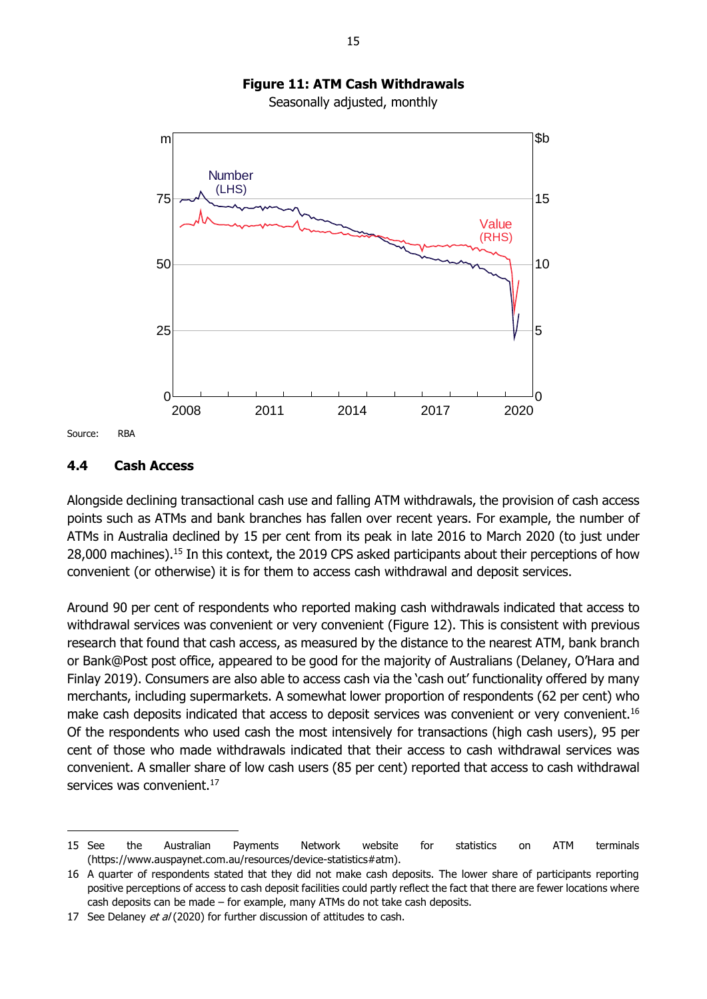

Seasonally adjusted, monthly



Source: RBA

-

#### <span id="page-20-0"></span>**4.4 Cash Access**

Alongside declining transactional cash use and falling ATM withdrawals, the provision of cash access points such as ATMs and bank branches has fallen over recent years. For example, the number of ATMs in Australia declined by 15 per cent from its peak in late 2016 to March 2020 (to just under 28,000 machines).<sup>15</sup> In this context, the 2019 CPS asked participants about their perceptions of how convenient (or otherwise) it is for them to access cash withdrawal and deposit services.

Around 90 per cent of respondents who reported making cash withdrawals indicated that access to withdrawal services was convenient or very convenient (Figure 12). This is consistent with previous research that found that cash access, as measured by the distance to the nearest ATM, bank branch or Bank@Post post office, appeared to be good for the majority of Australians (Delaney, O'Hara and Finlay 2019). Consumers are also able to access cash via the 'cash out' functionality offered by many merchants, including supermarkets. A somewhat lower proportion of respondents (62 per cent) who make cash deposits indicated that access to deposit services was convenient or very convenient.<sup>16</sup> Of the respondents who used cash the most intensively for transactions (high cash users), 95 per cent of those who made withdrawals indicated that their access to cash withdrawal services was convenient. A smaller share of low cash users (85 per cent) reported that access to cash withdrawal services was convenient.<sup>17</sup>

<sup>15</sup> See the Australian Payments Network website for statistics on ATM terminals (https://www.auspaynet.com.au/resources/device-statistics#atm).

<sup>16</sup> A quarter of respondents stated that they did not make cash deposits. The lower share of participants reporting positive perceptions of access to cash deposit facilities could partly reflect the fact that there are fewer locations where cash deposits can be made – for example, many ATMs do not take cash deposits.

<sup>17</sup> See Delaney et al (2020) for further discussion of attitudes to cash.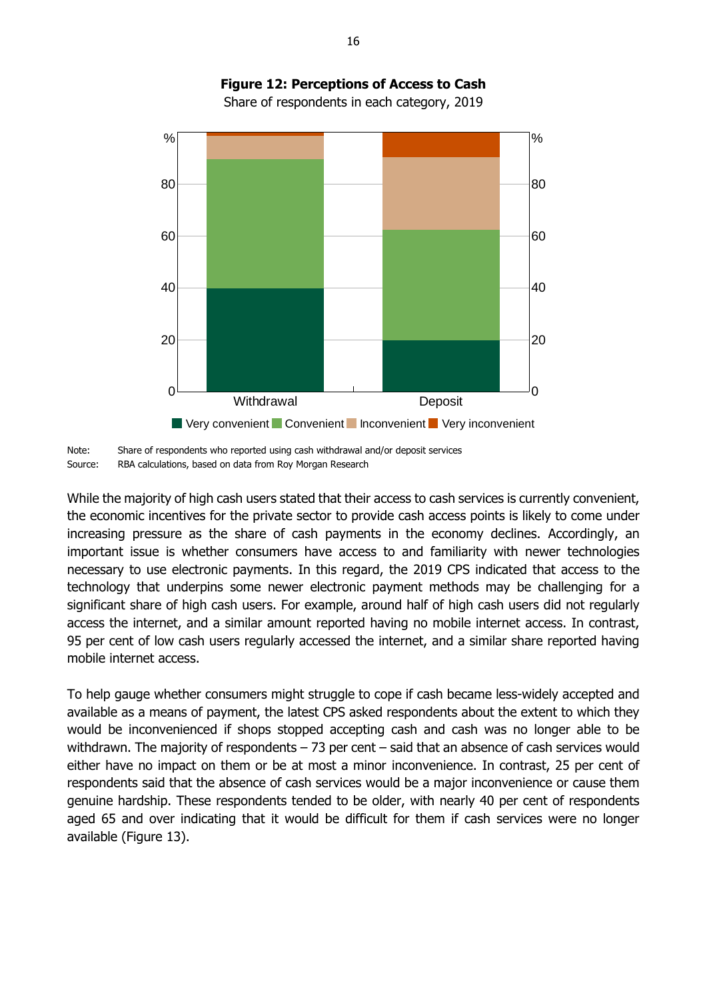

# **Figure 12: Perceptions of Access to Cash**

Share of respondents in each category, 2019

While the majority of high cash users stated that their access to cash services is currently convenient, the economic incentives for the private sector to provide cash access points is likely to come under increasing pressure as the share of cash payments in the economy declines. Accordingly, an important issue is whether consumers have access to and familiarity with newer technologies necessary to use electronic payments. In this regard, the 2019 CPS indicated that access to the technology that underpins some newer electronic payment methods may be challenging for a significant share of high cash users. For example, around half of high cash users did not regularly access the internet, and a similar amount reported having no mobile internet access. In contrast, 95 per cent of low cash users regularly accessed the internet, and a similar share reported having mobile internet access.

To help gauge whether consumers might struggle to cope if cash became less-widely accepted and available as a means of payment, the latest CPS asked respondents about the extent to which they would be inconvenienced if shops stopped accepting cash and cash was no longer able to be withdrawn. The majority of respondents – 73 per cent – said that an absence of cash services would either have no impact on them or be at most a minor inconvenience. In contrast, 25 per cent of respondents said that the absence of cash services would be a major inconvenience or cause them genuine hardship. These respondents tended to be older, with nearly 40 per cent of respondents aged 65 and over indicating that it would be difficult for them if cash services were no longer available (Figure 13).

Note: Share of respondents who reported using cash withdrawal and/or deposit services Source: RBA calculations, based on data from Roy Morgan Research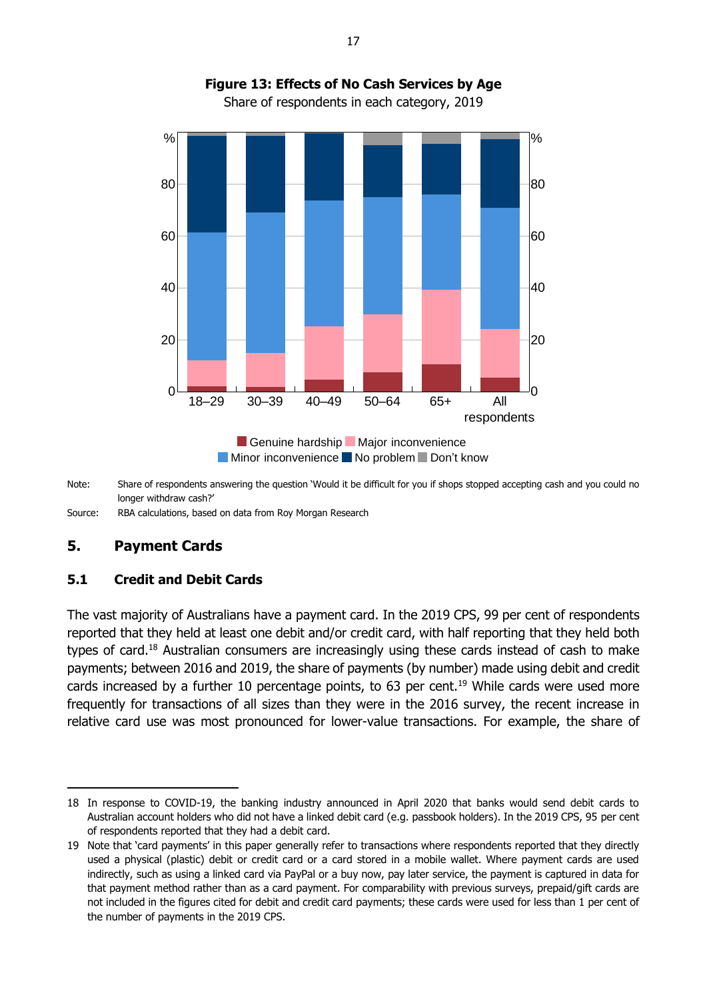

## **Figure 13: Effects of No Cash Services by Age** Share of respondents in each category, 2019

Note: Share of respondents answering the question 'Would it be difficult for you if shops stopped accepting cash and you could no longer withdraw cash?'

Source: RBA calculations, based on data from Roy Morgan Research

### <span id="page-22-0"></span>**5. Payment Cards**

-

#### <span id="page-22-1"></span>**5.1 Credit and Debit Cards**

The vast majority of Australians have a payment card. In the 2019 CPS, 99 per cent of respondents reported that they held at least one debit and/or credit card, with half reporting that they held both types of card.<sup>18</sup> Australian consumers are increasingly using these cards instead of cash to make payments; between 2016 and 2019, the share of payments (by number) made using debit and credit cards increased by a further 10 percentage points, to 63 per cent.<sup>19</sup> While cards were used more frequently for transactions of all sizes than they were in the 2016 survey, the recent increase in relative card use was most pronounced for lower-value transactions. For example, the share of

<sup>18</sup> In response to COVID-19, the banking industry announced in April 2020 that banks would send debit cards to Australian account holders who did not have a linked debit card (e.g. passbook holders). In the 2019 CPS, 95 per cent of respondents reported that they had a debit card.

<sup>19</sup> Note that 'card payments' in this paper generally refer to transactions where respondents reported that they directly used a physical (plastic) debit or credit card or a card stored in a mobile wallet. Where payment cards are used indirectly, such as using a linked card via PayPal or a buy now, pay later service, the payment is captured in data for that payment method rather than as a card payment. For comparability with previous surveys, prepaid/gift cards are not included in the figures cited for debit and credit card payments; these cards were used for less than 1 per cent of the number of payments in the 2019 CPS.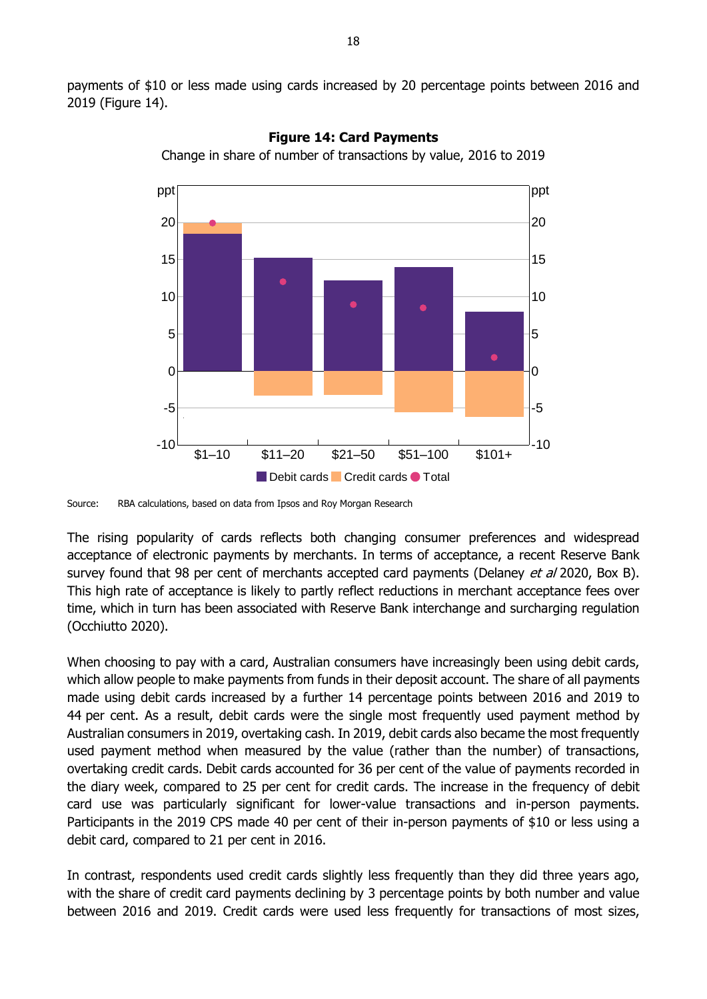payments of \$10 or less made using cards increased by 20 percentage points between 2016 and 2019 (Figure 14).



**Figure 14: Card Payments**

Change in share of number of transactions by value, 2016 to 2019

The rising popularity of cards reflects both changing consumer preferences and widespread acceptance of electronic payments by merchants. In terms of acceptance, a recent Reserve Bank survey found that 98 per cent of merchants accepted card payments (Delaney et al 2020, Box B). This high rate of acceptance is likely to partly reflect reductions in merchant acceptance fees over time, which in turn has been associated with Reserve Bank interchange and surcharging regulation (Occhiutto 2020).

When choosing to pay with a card, Australian consumers have increasingly been using debit cards, which allow people to make payments from funds in their deposit account. The share of all payments made using debit cards increased by a further 14 percentage points between 2016 and 2019 to 44 per cent. As a result, debit cards were the single most frequently used payment method by Australian consumers in 2019, overtaking cash. In 2019, debit cards also became the most frequently used payment method when measured by the value (rather than the number) of transactions, overtaking credit cards. Debit cards accounted for 36 per cent of the value of payments recorded in the diary week, compared to 25 per cent for credit cards. The increase in the frequency of debit card use was particularly significant for lower-value transactions and in-person payments. Participants in the 2019 CPS made 40 per cent of their in-person payments of \$10 or less using a debit card, compared to 21 per cent in 2016.

In contrast, respondents used credit cards slightly less frequently than they did three years ago, with the share of credit card payments declining by 3 percentage points by both number and value between 2016 and 2019. Credit cards were used less frequently for transactions of most sizes,

Source: RBA calculations, based on data from Ipsos and Roy Morgan Research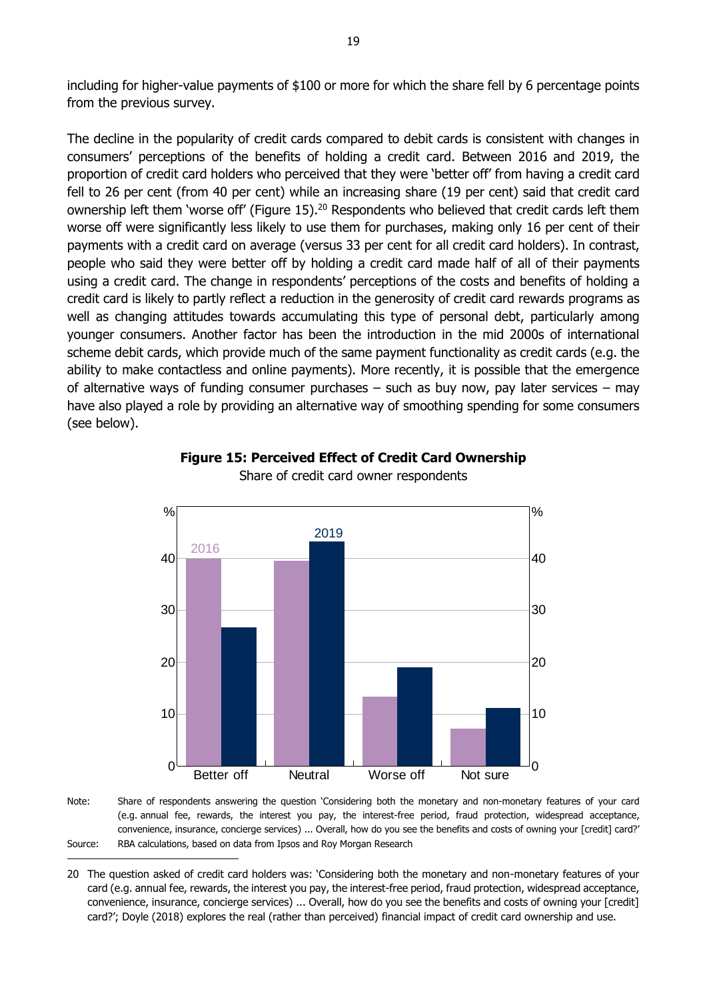including for higher-value payments of \$100 or more for which the share fell by 6 percentage points from the previous survey.

The decline in the popularity of credit cards compared to debit cards is consistent with changes in consumers' perceptions of the benefits of holding a credit card. Between 2016 and 2019, the proportion of credit card holders who perceived that they were 'better off' from having a credit card fell to 26 per cent (from 40 per cent) while an increasing share (19 per cent) said that credit card ownership left them 'worse off' (Figure 15).<sup>20</sup> Respondents who believed that credit cards left them worse off were significantly less likely to use them for purchases, making only 16 per cent of their payments with a credit card on average (versus 33 per cent for all credit card holders). In contrast, people who said they were better off by holding a credit card made half of all of their payments using a credit card. The change in respondents' perceptions of the costs and benefits of holding a credit card is likely to partly reflect a reduction in the generosity of credit card rewards programs as well as changing attitudes towards accumulating this type of personal debt, particularly among younger consumers. Another factor has been the introduction in the mid 2000s of international scheme debit cards, which provide much of the same payment functionality as credit cards (e.g. the ability to make contactless and online payments). More recently, it is possible that the emergence of alternative ways of funding consumer purchases – such as buy now, pay later services – may have also played a role by providing an alternative way of smoothing spending for some consumers (see below).



**Figure 15: Perceived Effect of Credit Card Ownership** Share of credit card owner respondents

Note: Share of respondents answering the question 'Considering both the monetary and non-monetary features of your card (e.g. annual fee, rewards, the interest you pay, the interest-free period, fraud protection, widespread acceptance, convenience, insurance, concierge services) ... Overall, how do you see the benefits and costs of owning your [credit] card?' Source: RBA calculations, based on data from Ipsos and Roy Morgan Research

-

<sup>20</sup> The question asked of credit card holders was: 'Considering both the monetary and non-monetary features of your card (e.g. annual fee, rewards, the interest you pay, the interest-free period, fraud protection, widespread acceptance, convenience, insurance, concierge services) ... Overall, how do you see the benefits and costs of owning your [credit] card?'; Doyle (2018) explores the real (rather than perceived) financial impact of credit card ownership and use.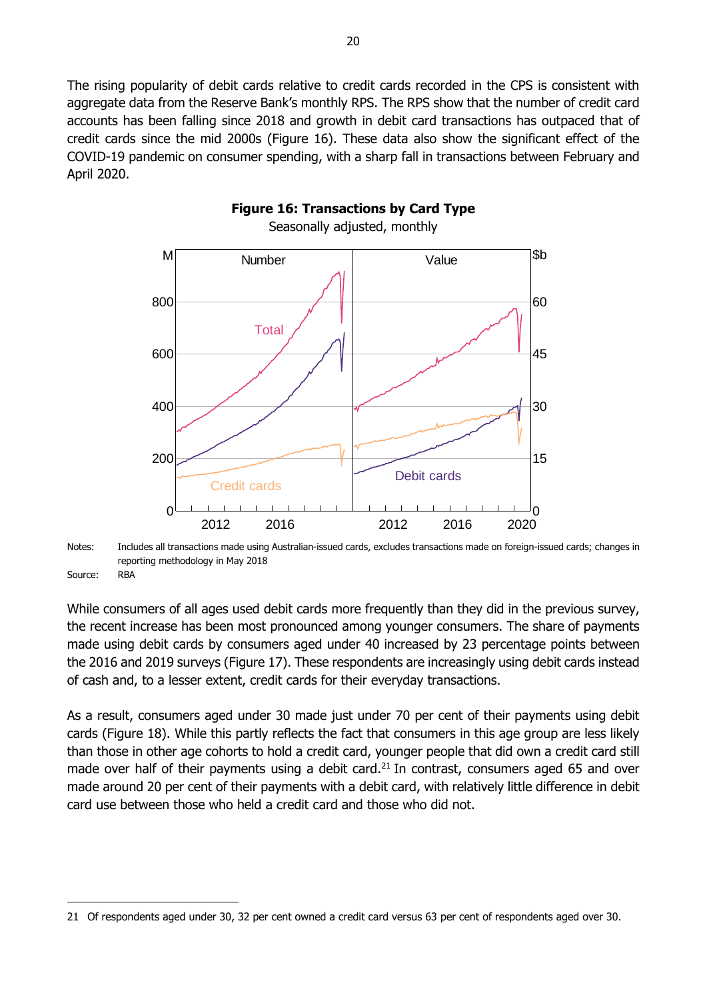The rising popularity of debit cards relative to credit cards recorded in the CPS is consistent with aggregate data from the Reserve Bank's monthly RPS. The RPS show that the number of credit card accounts has been falling since 2018 and growth in debit card transactions has outpaced that of credit cards since the mid 2000s (Figure 16). These data also show the significant effect of the COVID-19 pandemic on consumer spending, with a sharp fall in transactions between February and April 2020.



Notes: Includes all transactions made using Australian-issued cards, excludes transactions made on foreign-issued cards; changes in reporting methodology in May 2018

Source: RBA

-

While consumers of all ages used debit cards more frequently than they did in the previous survey, the recent increase has been most pronounced among younger consumers. The share of payments made using debit cards by consumers aged under 40 increased by 23 percentage points between the 2016 and 2019 surveys (Figure 17). These respondents are increasingly using debit cards instead of cash and, to a lesser extent, credit cards for their everyday transactions.

As a result, consumers aged under 30 made just under 70 per cent of their payments using debit cards (Figure 18). While this partly reflects the fact that consumers in this age group are less likely than those in other age cohorts to hold a credit card, younger people that did own a credit card still made over half of their payments using a debit card.<sup>21</sup> In contrast, consumers aged 65 and over made around 20 per cent of their payments with a debit card, with relatively little difference in debit card use between those who held a credit card and those who did not.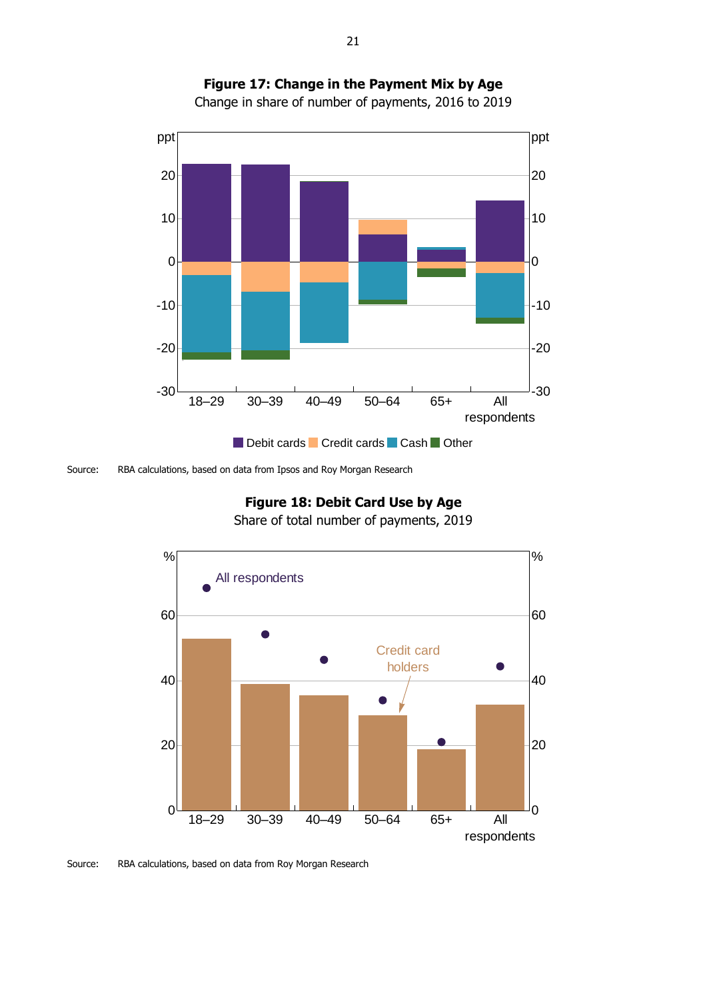



Source: RBA calculations, based on data from Ipsos and Roy Morgan Research

# **Figure 18: Debit Card Use by Age**

Share of total number of payments, 2019



Source: RBA calculations, based on data from Roy Morgan Research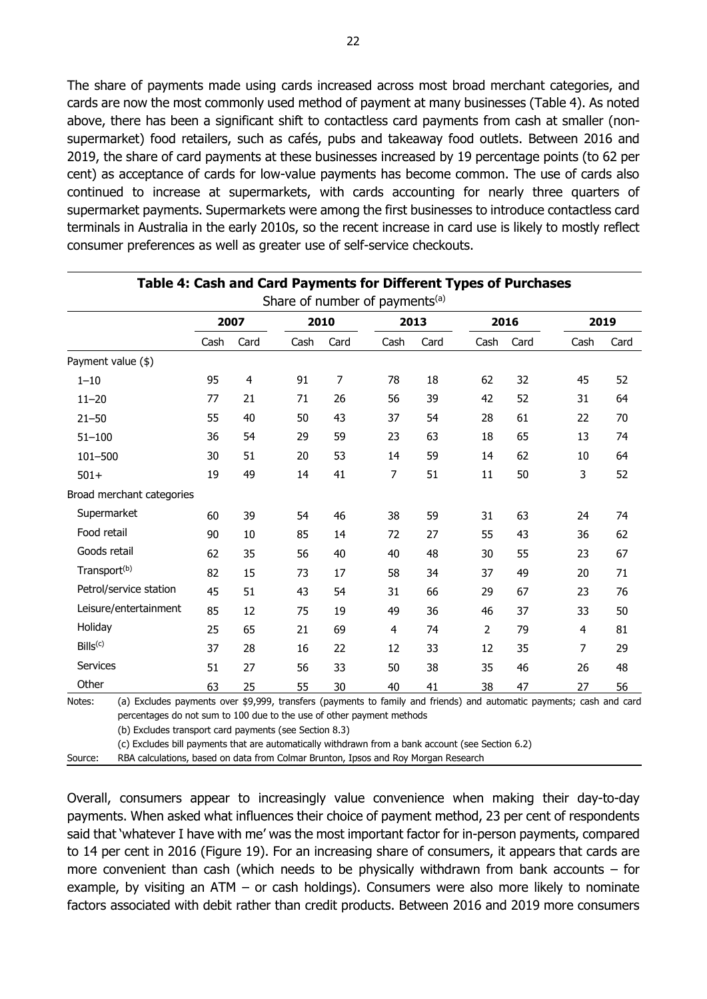The share of payments made using cards increased across most broad merchant categories, and cards are now the most commonly used method of payment at many businesses (Table 4). As noted above, there has been a significant shift to contactless card payments from cash at smaller (nonsupermarket) food retailers, such as cafés, pubs and takeaway food outlets. Between 2016 and 2019, the share of card payments at these businesses increased by 19 percentage points (to 62 per cent) as acceptance of cards for low-value payments has become common. The use of cards also continued to increase at supermarkets, with cards accounting for nearly three quarters of supermarket payments. Supermarkets were among the first businesses to introduce contactless card terminals in Australia in the early 2010s, so the recent increase in card use is likely to mostly reflect consumer preferences as well as greater use of self-service checkouts.

|                           |      | 2007 |      | 2010 |                | 2013 |                | 2016 | 2019 |      |
|---------------------------|------|------|------|------|----------------|------|----------------|------|------|------|
|                           | Cash | Card | Cash | Card | Cash           | Card | Cash           | Card | Cash | Card |
| Payment value (\$)        |      |      |      |      |                |      |                |      |      |      |
| $1 - 10$                  | 95   | 4    | 91   | 7    | 78             | 18   | 62             | 32   | 45   | 52   |
| $11 - 20$                 | 77   | 21   | 71   | 26   | 56             | 39   | 42             | 52   | 31   | 64   |
| $21 - 50$                 | 55   | 40   | 50   | 43   | 37             | 54   | 28             | 61   | 22   | 70   |
| $51 - 100$                | 36   | 54   | 29   | 59   | 23             | 63   | 18             | 65   | 13   | 74   |
| 101-500                   | 30   | 51   | 20   | 53   | 14             | 59   | 14             | 62   | 10   | 64   |
| $501+$                    | 19   | 49   | 14   | 41   | $\overline{7}$ | 51   | 11             | 50   | 3    | 52   |
| Broad merchant categories |      |      |      |      |                |      |                |      |      |      |
| Supermarket               | 60   | 39   | 54   | 46   | 38             | 59   | 31             | 63   | 24   | 74   |
| Food retail               | 90   | 10   | 85   | 14   | 72             | 27   | 55             | 43   | 36   | 62   |
| Goods retail              | 62   | 35   | 56   | 40   | 40             | 48   | 30             | 55   | 23   | 67   |
| Transport <sup>(b)</sup>  | 82   | 15   | 73   | 17   | 58             | 34   | 37             | 49   | 20   | 71   |
| Petrol/service station    | 45   | 51   | 43   | 54   | 31             | 66   | 29             | 67   | 23   | 76   |
| Leisure/entertainment     | 85   | 12   | 75   | 19   | 49             | 36   | 46             | 37   | 33   | 50   |
| Holiday                   | 25   | 65   | 21   | 69   | $\overline{4}$ | 74   | $\overline{2}$ | 79   | 4    | 81   |
| Bills <sup>(c)</sup>      | 37   | 28   | 16   | 22   | 12             | 33   | 12             | 35   | 7    | 29   |
| Services                  | 51   | 27   | 56   | 33   | 50             | 38   | 35             | 46   | 26   | 48   |
| Other                     | 63   | 25   | 55   | 30   | 40             | 41   | 38             | 47   | 27   | 56   |

**Table 4: Cash and Card Payments for Different Types of Purchases**

(b) Excludes transport card payments (see Section 8.3)

(c) Excludes bill payments that are automatically withdrawn from a bank account (see Section 6.2)

Source: RBA calculations, based on data from Colmar Brunton, Ipsos and Roy Morgan Research

Overall, consumers appear to increasingly value convenience when making their day-to-day payments. When asked what influences their choice of payment method, 23 per cent of respondents said that 'whatever I have with me' was the most important factor for in-person payments, compared to 14 per cent in 2016 (Figure 19). For an increasing share of consumers, it appears that cards are more convenient than cash (which needs to be physically withdrawn from bank accounts – for example, by visiting an ATM – or cash holdings). Consumers were also more likely to nominate factors associated with debit rather than credit products. Between 2016 and 2019 more consumers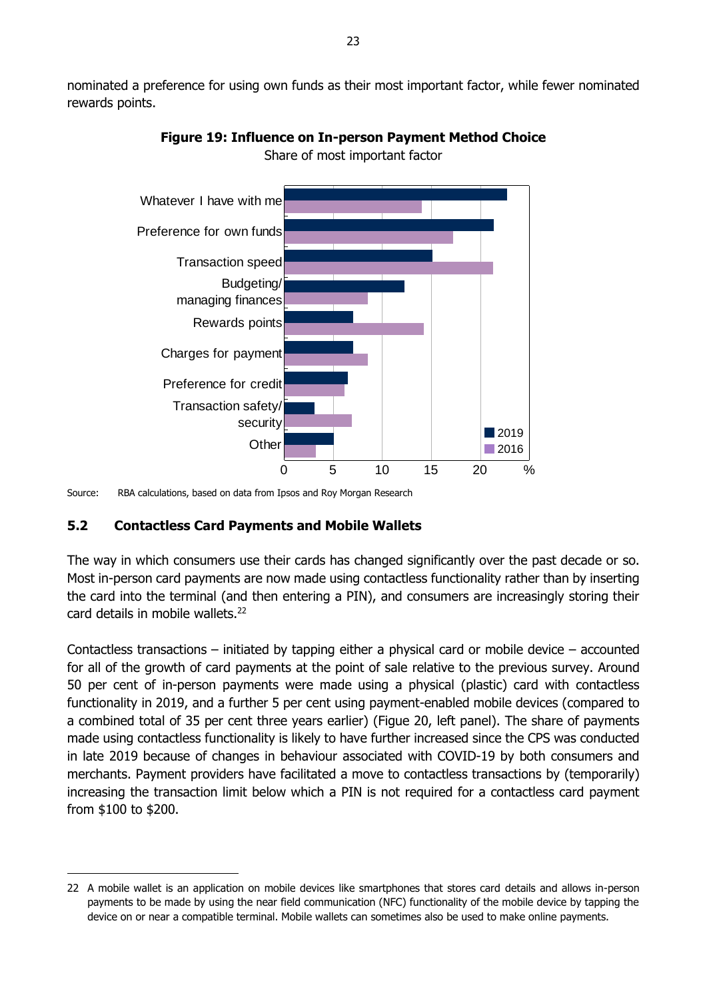nominated a preference for using own funds as their most important factor, while fewer nominated rewards points.



**Figure 19: Influence on In-person Payment Method Choice**

Share of most important factor

Source: RBA calculations, based on data from Ipsos and Roy Morgan Research

### <span id="page-28-0"></span>**5.2 Contactless Card Payments and Mobile Wallets**

-

The way in which consumers use their cards has changed significantly over the past decade or so. Most in-person card payments are now made using contactless functionality rather than by inserting the card into the terminal (and then entering a PIN), and consumers are increasingly storing their card details in mobile wallets.<sup>22</sup>

Contactless transactions – initiated by tapping either a physical card or mobile device – accounted for all of the growth of card payments at the point of sale relative to the previous survey. Around 50 per cent of in-person payments were made using a physical (plastic) card with contactless functionality in 2019, and a further 5 per cent using payment-enabled mobile devices (compared to a combined total of 35 per cent three years earlier) (Figue 20, left panel). The share of payments made using contactless functionality is likely to have further increased since the CPS was conducted in late 2019 because of changes in behaviour associated with COVID-19 by both consumers and merchants. Payment providers have facilitated a move to contactless transactions by (temporarily) increasing the transaction limit below which a PIN is not required for a contactless card payment from \$100 to \$200.

<sup>22</sup> A mobile wallet is an application on mobile devices like smartphones that stores card details and allows in-person payments to be made by using the near field communication (NFC) functionality of the mobile device by tapping the device on or near a compatible terminal. Mobile wallets can sometimes also be used to make online payments.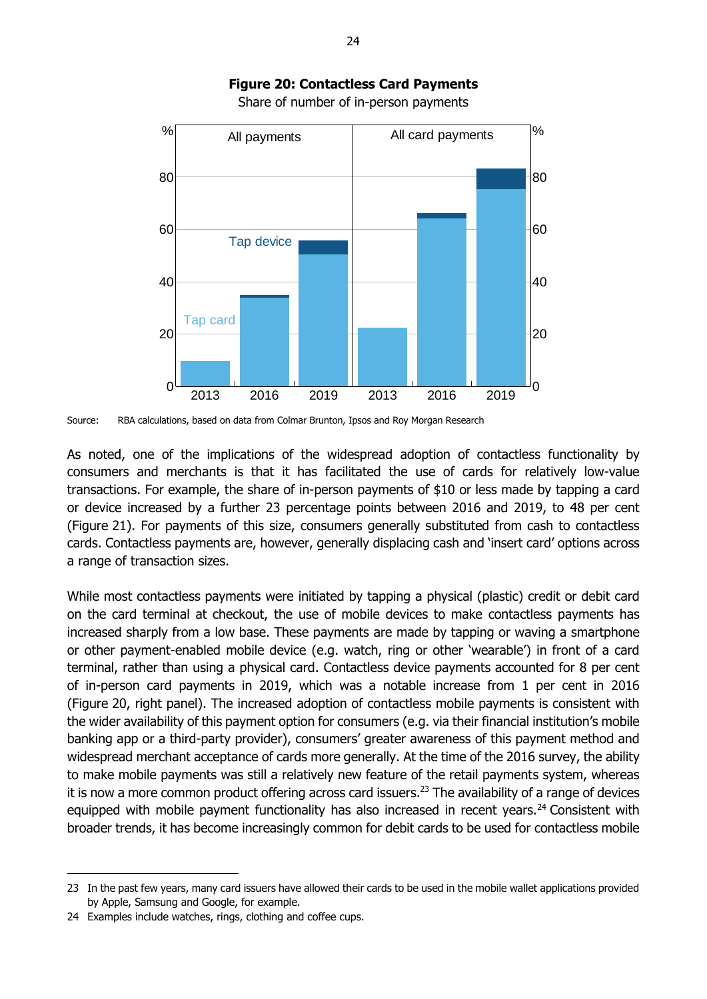

# **Figure 20: Contactless Card Payments**

Share of number of in-person payments

Source: RBA calculations, based on data from Colmar Brunton, Ipsos and Roy Morgan Research

As noted, one of the implications of the widespread adoption of contactless functionality by consumers and merchants is that it has facilitated the use of cards for relatively low-value transactions. For example, the share of in-person payments of \$10 or less made by tapping a card or device increased by a further 23 percentage points between 2016 and 2019, to 48 per cent (Figure 21). For payments of this size, consumers generally substituted from cash to contactless cards. Contactless payments are, however, generally displacing cash and 'insert card' options across a range of transaction sizes.

While most contactless payments were initiated by tapping a physical (plastic) credit or debit card on the card terminal at checkout, the use of mobile devices to make contactless payments has increased sharply from a low base. These payments are made by tapping or waving a smartphone or other payment-enabled mobile device (e.g. watch, ring or other 'wearable') in front of a card terminal, rather than using a physical card. Contactless device payments accounted for 8 per cent of in-person card payments in 2019, which was a notable increase from 1 per cent in 2016 (Figure 20, right panel). The increased adoption of contactless mobile payments is consistent with the wider availability of this payment option for consumers (e.g. via their financial institution's mobile banking app or a third-party provider), consumers' greater awareness of this payment method and widespread merchant acceptance of cards more generally. At the time of the 2016 survey, the ability to make mobile payments was still a relatively new feature of the retail payments system, whereas it is now a more common product offering across card issuers. <sup>23</sup> The availability of a range of devices equipped with mobile payment functionality has also increased in recent years.<sup>24</sup> Consistent with broader trends, it has become increasingly common for debit cards to be used for contactless mobile All payments<br>
80<br>
20 Tap device<br>
20 Tap device<br>
20 Tap device<br>
2013 2016 2019<br>
2013 2016 2019<br>
Source: RBA calculations, based on data from Colmar Brunton, Ipse<br>
As noted, one of the implications of the wides<br>
consumers an

-

<sup>23</sup> In the past few years, many card issuers have allowed their cards to be used in the mobile wallet applications provided by Apple, Samsung and Google, for example.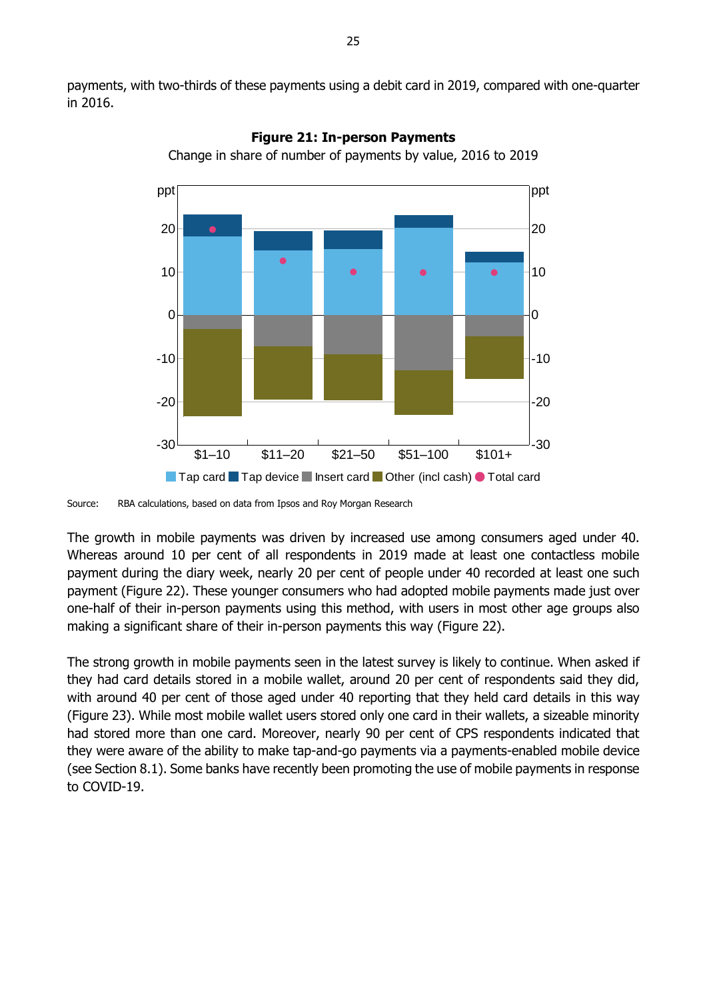payments, with two-thirds of these payments using a debit card in 2019, compared with one-quarter in 2016.



**Figure 21: In-person Payments**

Change in share of number of payments by value, 2016 to 2019

The growth in mobile payments was driven by increased use among consumers aged under 40. Whereas around 10 per cent of all respondents in 2019 made at least one contactless mobile payment during the diary week, nearly 20 per cent of people under 40 recorded at least one such payment (Figure 22). These younger consumers who had adopted mobile payments made just over one-half of their in-person payments using this method, with users in most other age groups also making a significant share of their in-person payments this way (Figure 22).

The strong growth in mobile payments seen in the latest survey is likely to continue. When asked if they had card details stored in a mobile wallet, around 20 per cent of respondents said they did, with around 40 per cent of those aged under 40 reporting that they held card details in this way (Figure 23). While most mobile wallet users stored only one card in their wallets, a sizeable minority had stored more than one card. Moreover, nearly 90 per cent of CPS respondents indicated that they were aware of the ability to make tap-and-go payments via a payments-enabled mobile device (see Section 8.1). Some banks have recently been promoting the use of mobile payments in response to COVID-19.

Source: RBA calculations, based on data from Ipsos and Roy Morgan Research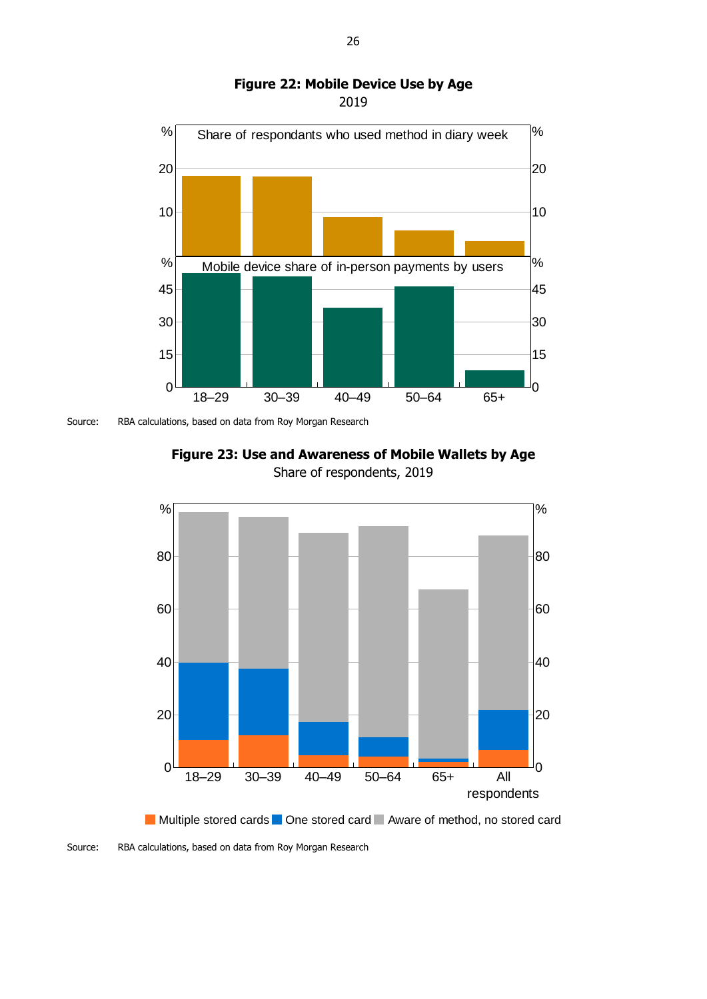

#### **Figure 22: Mobile Device Use by Age** 2019

Source: RBA calculations, based on data from Roy Morgan Research





Multiple stored cards One stored card Aware of method, no stored card

Source: RBA calculations, based on data from Roy Morgan Research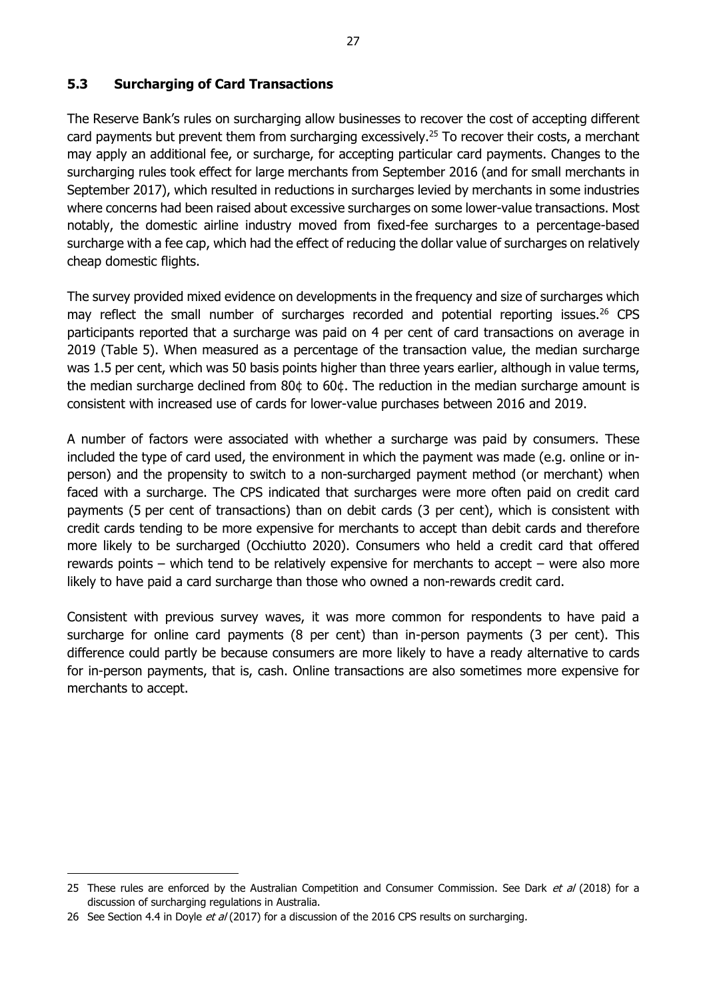### <span id="page-32-0"></span>**5.3 Surcharging of Card Transactions**

The Reserve Bank's rules on surcharging allow businesses to recover the cost of accepting different card payments but prevent them from surcharging excessively.<sup>25</sup> To recover their costs, a merchant may apply an additional fee, or surcharge, for accepting particular card payments. Changes to the surcharging rules took effect for large merchants from September 2016 (and for small merchants in September 2017), which resulted in reductions in surcharges levied by merchants in some industries where concerns had been raised about excessive surcharges on some lower-value transactions. Most notably, the domestic airline industry moved from fixed-fee surcharges to a percentage-based surcharge with a fee cap, which had the effect of reducing the dollar value of surcharges on relatively cheap domestic flights.

The survey provided mixed evidence on developments in the frequency and size of surcharges which may reflect the small number of surcharges recorded and potential reporting issues.<sup>26</sup> CPS participants reported that a surcharge was paid on 4 per cent of card transactions on average in 2019 (Table 5). When measured as a percentage of the transaction value, the median surcharge was 1.5 per cent, which was 50 basis points higher than three years earlier, although in value terms, the median surcharge declined from 80¢ to 60¢. The reduction in the median surcharge amount is consistent with increased use of cards for lower-value purchases between 2016 and 2019.

A number of factors were associated with whether a surcharge was paid by consumers. These included the type of card used, the environment in which the payment was made (e.g. online or inperson) and the propensity to switch to a non-surcharged payment method (or merchant) when faced with a surcharge. The CPS indicated that surcharges were more often paid on credit card payments (5 per cent of transactions) than on debit cards (3 per cent), which is consistent with credit cards tending to be more expensive for merchants to accept than debit cards and therefore more likely to be surcharged (Occhiutto 2020). Consumers who held a credit card that offered rewards points – which tend to be relatively expensive for merchants to accept – were also more likely to have paid a card surcharge than those who owned a non-rewards credit card.

Consistent with previous survey waves, it was more common for respondents to have paid a surcharge for online card payments (8 per cent) than in-person payments (3 per cent). This difference could partly be because consumers are more likely to have a ready alternative to cards for in-person payments, that is, cash. Online transactions are also sometimes more expensive for merchants to accept.

-

<sup>25</sup> These rules are enforced by the Australian Competition and Consumer Commission. See Dark et al (2018) for a discussion of surcharging regulations in Australia.

<sup>26</sup> See Section 4.4 in Doyle et al (2017) for a discussion of the 2016 CPS results on surcharging.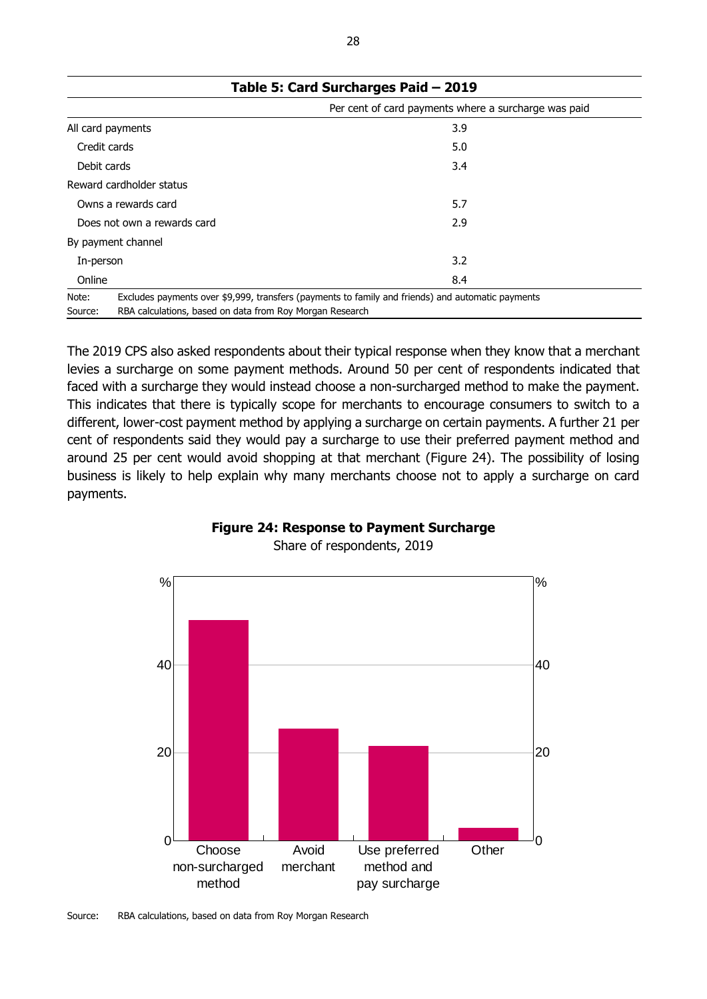| rable 5. Card Surcharges $ra\alpha$ $-$ 2019                        |                                                                                                   |  |  |  |  |  |
|---------------------------------------------------------------------|---------------------------------------------------------------------------------------------------|--|--|--|--|--|
|                                                                     | Per cent of card payments where a surcharge was paid                                              |  |  |  |  |  |
| All card payments                                                   | 3.9                                                                                               |  |  |  |  |  |
| Credit cards                                                        | 5.0                                                                                               |  |  |  |  |  |
| Debit cards                                                         | 3.4                                                                                               |  |  |  |  |  |
| Reward cardholder status                                            |                                                                                                   |  |  |  |  |  |
| Owns a rewards card                                                 | 5.7                                                                                               |  |  |  |  |  |
| Does not own a rewards card                                         | 2.9                                                                                               |  |  |  |  |  |
| By payment channel                                                  |                                                                                                   |  |  |  |  |  |
| In-person                                                           | 3.2                                                                                               |  |  |  |  |  |
| Online                                                              | 8.4                                                                                               |  |  |  |  |  |
| Note:                                                               | Excludes payments over \$9,999, transfers (payments to family and friends) and automatic payments |  |  |  |  |  |
| RBA calculations, based on data from Roy Morgan Research<br>Source: |                                                                                                   |  |  |  |  |  |

**Table 5: Card Surcharges Paid – 2019**

The 2019 CPS also asked respondents about their typical response when they know that a merchant levies a surcharge on some payment methods. Around 50 per cent of respondents indicated that faced with a surcharge they would instead choose a non-surcharged method to make the payment. This indicates that there is typically scope for merchants to encourage consumers to switch to a different, lower-cost payment method by applying a surcharge on certain payments. A further 21 per cent of respondents said they would pay a surcharge to use their preferred payment method and around 25 per cent would avoid shopping at that merchant (Figure 24). The possibility of losing business is likely to help explain why many merchants choose not to apply a surcharge on card payments.



**Figure 24: Response to Payment Surcharge** Share of respondents, 2019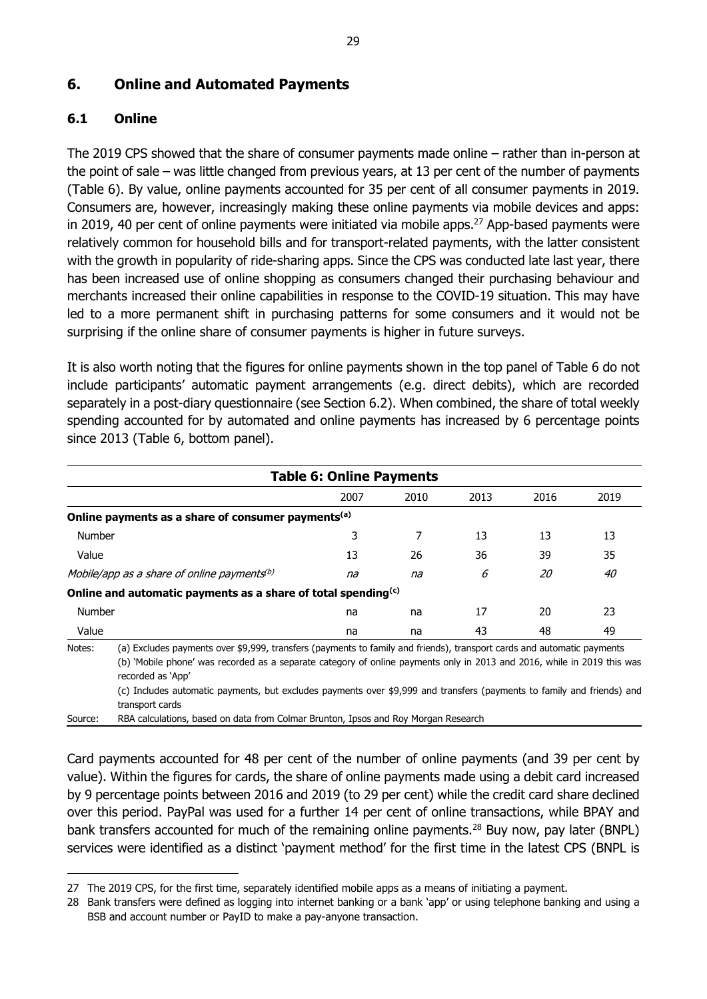### <span id="page-34-0"></span>**6. Online and Automated Payments**

### <span id="page-34-1"></span>**6.1 Online**

-

The 2019 CPS showed that the share of consumer payments made online – rather than in-person at the point of sale – was little changed from previous years, at 13 per cent of the number of payments (Table 6). By value, online payments accounted for 35 per cent of all consumer payments in 2019. Consumers are, however, increasingly making these online payments via mobile devices and apps: in 2019, 40 per cent of online payments were initiated via mobile apps.<sup>27</sup> App-based payments were relatively common for household bills and for transport-related payments, with the latter consistent with the growth in popularity of ride-sharing apps. Since the CPS was conducted late last year, there has been increased use of online shopping as consumers changed their purchasing behaviour and merchants increased their online capabilities in response to the COVID-19 situation. This may have led to a more permanent shift in purchasing patterns for some consumers and it would not be surprising if the online share of consumer payments is higher in future surveys.

It is also worth noting that the figures for online payments shown in the top panel of Table 6 do not include participants' automatic payment arrangements (e.g. direct debits), which are recorded separately in a post-diary questionnaire (see Section 6.2). When combined, the share of total weekly spending accounted for by automated and online payments has increased by 6 percentage points since 2013 (Table 6, bottom panel).

| <b>Table 6: Online Payments</b>                                |      |                                                                           |      |                                                                                                                        |  |  |  |  |
|----------------------------------------------------------------|------|---------------------------------------------------------------------------|------|------------------------------------------------------------------------------------------------------------------------|--|--|--|--|
| 2007                                                           | 2010 | 2013                                                                      | 2016 | 2019                                                                                                                   |  |  |  |  |
| Online payments as a share of consumer payments <sup>(a)</sup> |      |                                                                           |      |                                                                                                                        |  |  |  |  |
| 3                                                              |      | 13                                                                        | 13   | 13                                                                                                                     |  |  |  |  |
| 13                                                             | 26   | 36                                                                        | 39   | 35                                                                                                                     |  |  |  |  |
| na                                                             | na   | 6                                                                         | 20   | 40                                                                                                                     |  |  |  |  |
|                                                                |      |                                                                           |      |                                                                                                                        |  |  |  |  |
| na                                                             | na   | 17                                                                        | 20   | 23                                                                                                                     |  |  |  |  |
| na                                                             | na   | 43                                                                        | 48   | 49                                                                                                                     |  |  |  |  |
|                                                                |      | Online and automatic payments as a share of total spending <sup>(c)</sup> |      | (a) Excludes payments over \$9,999, transfers (payments to family and friends), transport cards and automatic payments |  |  |  |  |

(b) 'Mobile phone' was recorded as a separate category of online payments only in 2013 and 2016, while in 2019 this was recorded as 'App'

(c) Includes automatic payments, but excludes payments over \$9,999 and transfers (payments to family and friends) and transport cards

Source: RBA calculations, based on data from Colmar Brunton, Ipsos and Roy Morgan Research

Card payments accounted for 48 per cent of the number of online payments (and 39 per cent by value). Within the figures for cards, the share of online payments made using a debit card increased by 9 percentage points between 2016 and 2019 (to 29 per cent) while the credit card share declined over this period. PayPal was used for a further 14 per cent of online transactions, while BPAY and bank transfers accounted for much of the remaining online payments.<sup>28</sup> Buy now, pay later (BNPL) services were identified as a distinct 'payment method' for the first time in the latest CPS (BNPL is

<sup>27</sup> The 2019 CPS, for the first time, separately identified mobile apps as a means of initiating a payment.

<sup>28</sup> Bank transfers were defined as logging into internet banking or a bank 'app' or using telephone banking and using a BSB and account number or PayID to make a pay-anyone transaction.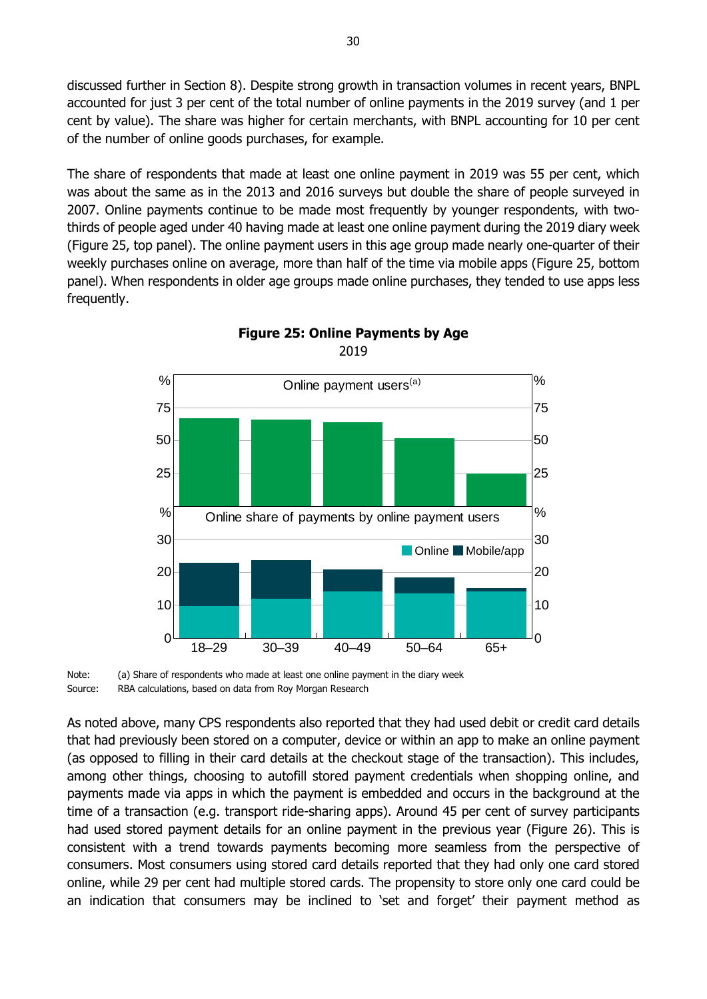discussed further in Section 8). Despite strong growth in transaction volumes in recent years, BNPL accounted for just 3 per cent of the total number of online payments in the 2019 survey (and 1 per cent by value). The share was higher for certain merchants, with BNPL accounting for 10 per cent of the number of online goods purchases, for example.

The share of respondents that made at least one online payment in 2019 was 55 per cent, which was about the same as in the 2013 and 2016 surveys but double the share of people surveyed in 2007. Online payments continue to be made most frequently by younger respondents, with twothirds of people aged under 40 having made at least one online payment during the 2019 diary week (Figure 25, top panel). The online payment users in this age group made nearly one-quarter of their weekly purchases online on average, more than half of the time via mobile apps (Figure 25, bottom panel). When respondents in older age groups made online purchases, they tended to use apps less frequently.



**Figure 25: Online Payments by Age** 2019

Note: (a) Share of respondents who made at least one online payment in the diary week Source: RBA calculations, based on data from Roy Morgan Research

As noted above, many CPS respondents also reported that they had used debit or credit card details that had previously been stored on a computer, device or within an app to make an online payment (as opposed to filling in their card details at the checkout stage of the transaction). This includes, among other things, choosing to autofill stored payment credentials when shopping online, and payments made via apps in which the payment is embedded and occurs in the background at the time of a transaction (e.g. transport ride-sharing apps). Around 45 per cent of survey participants had used stored payment details for an online payment in the previous year (Figure 26). This is consistent with a trend towards payments becoming more seamless from the perspective of consumers. Most consumers using stored card details reported that they had only one card stored online, while 29 per cent had multiple stored cards. The propensity to store only one card could be an indication that consumers may be inclined to 'set and forget' their payment method as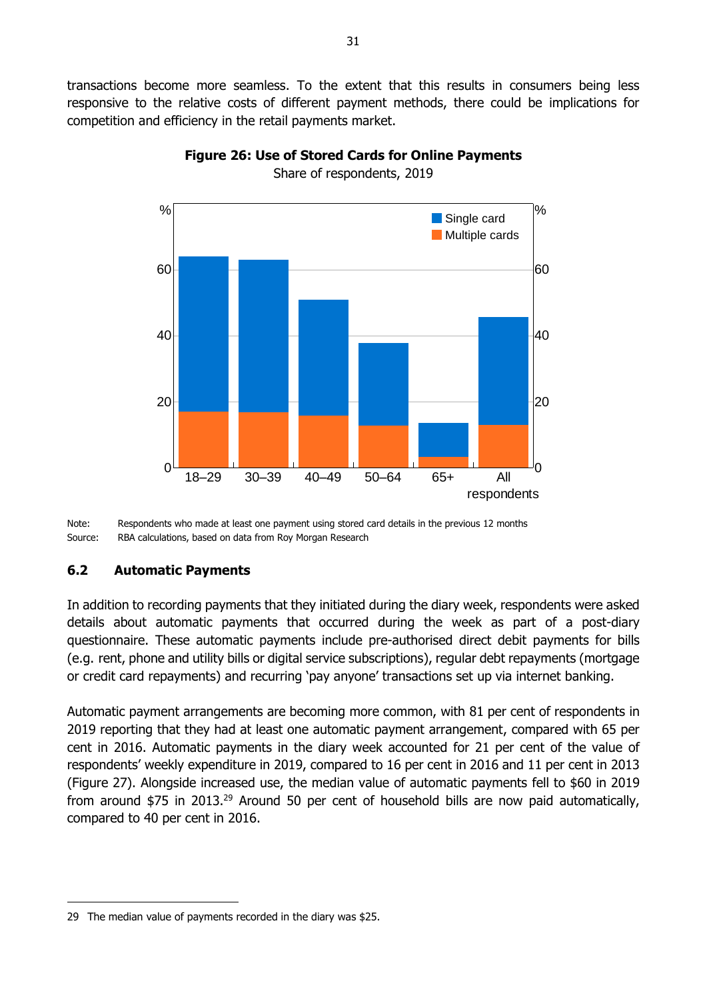transactions become more seamless. To the extent that this results in consumers being less responsive to the relative costs of different payment methods, there could be implications for competition and efficiency in the retail payments market.



### **Figure 26: Use of Stored Cards for Online Payments** Share of respondents, 2019

Note: Respondents who made at least one payment using stored card details in the previous 12 months Source: RBA calculations, based on data from Roy Morgan Research

### <span id="page-36-0"></span>**6.2 Automatic Payments**

-

In addition to recording payments that they initiated during the diary week, respondents were asked details about automatic payments that occurred during the week as part of a post-diary questionnaire. These automatic payments include pre-authorised direct debit payments for bills (e.g. rent, phone and utility bills or digital service subscriptions), regular debt repayments (mortgage or credit card repayments) and recurring 'pay anyone' transactions set up via internet banking.

Automatic payment arrangements are becoming more common, with 81 per cent of respondents in 2019 reporting that they had at least one automatic payment arrangement, compared with 65 per cent in 2016. Automatic payments in the diary week accounted for 21 per cent of the value of respondents' weekly expenditure in 2019, compared to 16 per cent in 2016 and 11 per cent in 2013 (Figure 27). Alongside increased use, the median value of automatic payments fell to \$60 in 2019 from around \$75 in 2013.<sup>29</sup> Around 50 per cent of household bills are now paid automatically, compared to 40 per cent in 2016.

<sup>29</sup> The median value of payments recorded in the diary was \$25.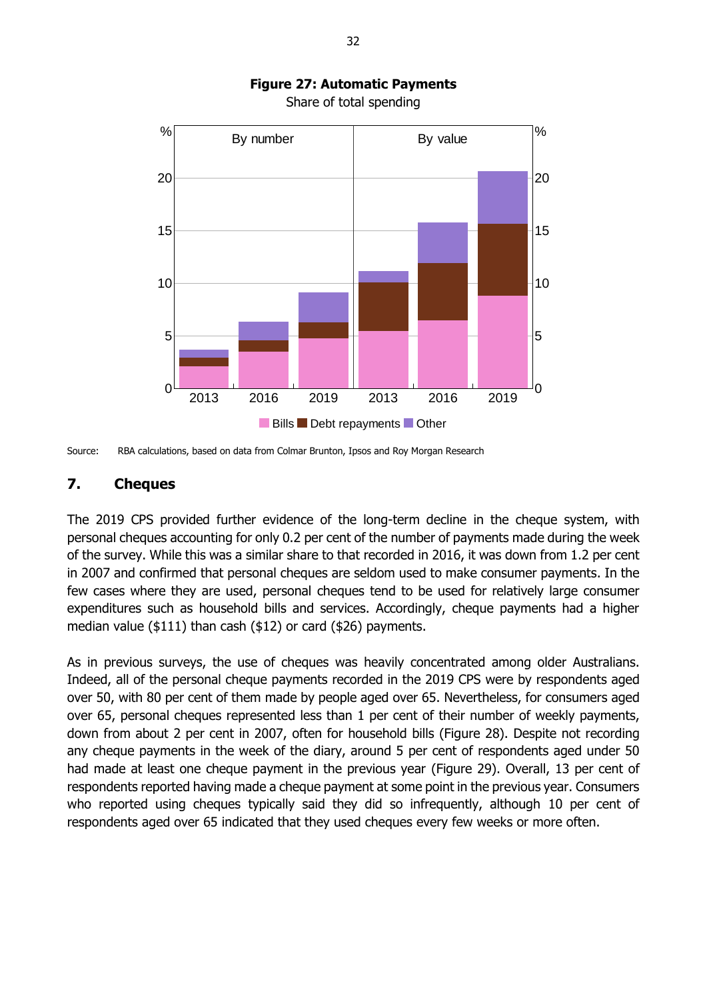

# **Figure 27: Automatic Payments**

Share of total spending

### <span id="page-37-0"></span>**7. Cheques**

The 2019 CPS provided further evidence of the long-term decline in the cheque system, with personal cheques accounting for only 0.2 per cent of the number of payments made during the week of the survey. While this was a similar share to that recorded in 2016, it was down from 1.2 per cent in 2007 and confirmed that personal cheques are seldom used to make consumer payments. In the few cases where they are used, personal cheques tend to be used for relatively large consumer expenditures such as household bills and services. Accordingly, cheque payments had a higher median value (\$111) than cash (\$12) or card (\$26) payments.

As in previous surveys, the use of cheques was heavily concentrated among older Australians. Indeed, all of the personal cheque payments recorded in the 2019 CPS were by respondents aged over 50, with 80 per cent of them made by people aged over 65. Nevertheless, for consumers aged over 65, personal cheques represented less than 1 per cent of their number of weekly payments, down from about 2 per cent in 2007, often for household bills (Figure 28). Despite not recording any cheque payments in the week of the diary, around 5 per cent of respondents aged under 50 had made at least one cheque payment in the previous year (Figure 29). Overall, 13 per cent of respondents reported having made a cheque payment at some point in the previous year. Consumers who reported using cheques typically said they did so infrequently, although 10 per cent of respondents aged over 65 indicated that they used cheques every few weeks or more often.

Source: RBA calculations, based on data from Colmar Brunton, Ipsos and Roy Morgan Research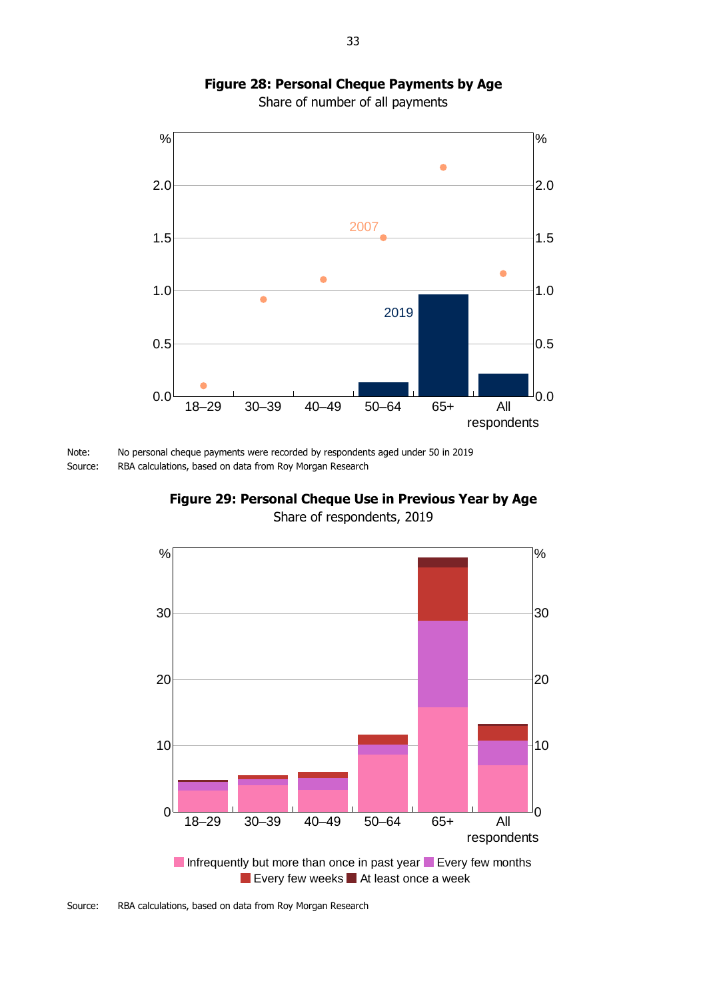### **Figure 28: Personal Cheque Payments by Age**

Share of number of all payments



Note: No personal cheque payments were recorded by respondents aged under 50 in 2019 Source: RBA calculations, based on data from Roy Morgan Research

**Figure 29: Personal Cheque Use in Previous Year by Age** Share of respondents, 2019

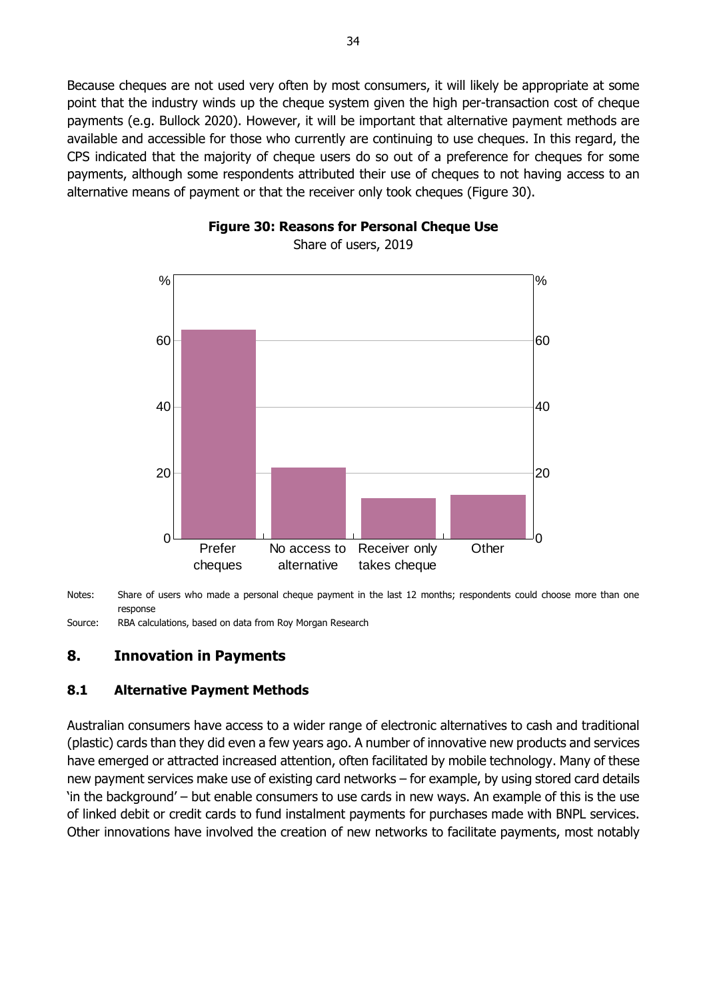Because cheques are not used very often by most consumers, it will likely be appropriate at some point that the industry winds up the cheque system given the high per-transaction cost of cheque payments (e.g. Bullock 2020). However, it will be important that alternative payment methods are available and accessible for those who currently are continuing to use cheques. In this regard, the CPS indicated that the majority of cheque users do so out of a preference for cheques for some payments, although some respondents attributed their use of cheques to not having access to an alternative means of payment or that the receiver only took cheques (Figure 30).





Notes: Share of users who made a personal cheque payment in the last 12 months; respondents could choose more than one response

Source: RBA calculations, based on data from Roy Morgan Research

### <span id="page-39-0"></span>**8. Innovation in Payments**

### <span id="page-39-1"></span>**8.1 Alternative Payment Methods**

Australian consumers have access to a wider range of electronic alternatives to cash and traditional (plastic) cards than they did even a few years ago. A number of innovative new products and services have emerged or attracted increased attention, often facilitated by mobile technology. Many of these new payment services make use of existing card networks – for example, by using stored card details 'in the background' – but enable consumers to use cards in new ways. An example of this is the use of linked debit or credit cards to fund instalment payments for purchases made with BNPL services. Other innovations have involved the creation of new networks to facilitate payments, most notably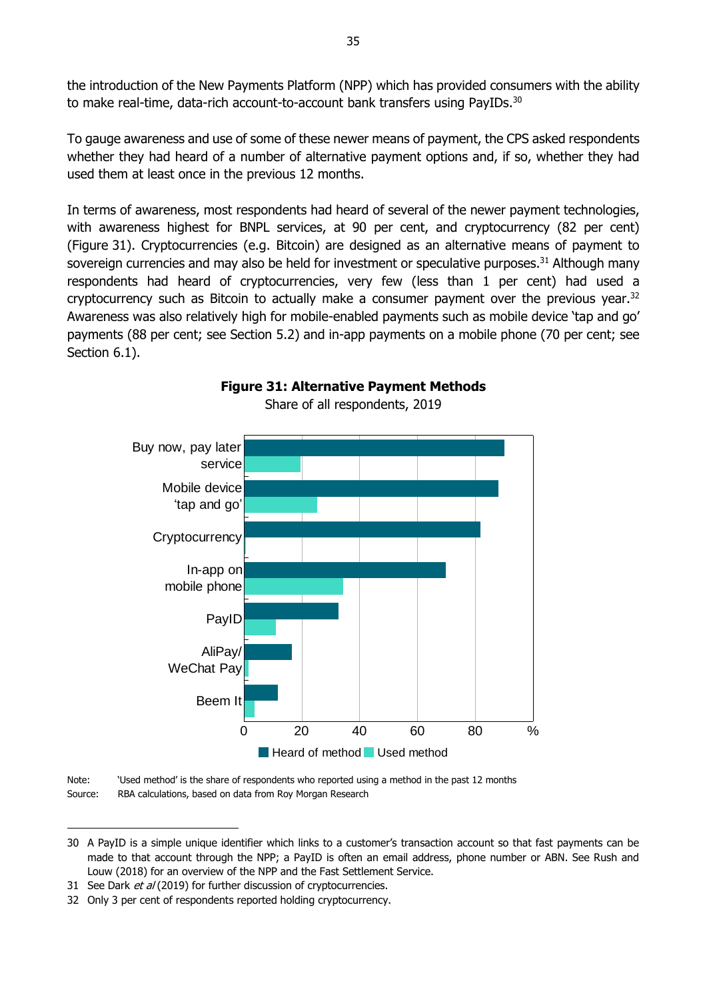the introduction of the New Payments Platform (NPP) which has provided consumers with the ability to make real-time, data-rich account-to-account bank transfers using PayIDs.<sup>30</sup>

To gauge awareness and use of some of these newer means of payment, the CPS asked respondents whether they had heard of a number of alternative payment options and, if so, whether they had used them at least once in the previous 12 months.

In terms of awareness, most respondents had heard of several of the newer payment technologies, with awareness highest for BNPL services, at 90 per cent, and cryptocurrency (82 per cent) (Figure 31). Cryptocurrencies (e.g. Bitcoin) are designed as an alternative means of payment to sovereign currencies and may also be held for investment or speculative purposes.<sup>31</sup> Although many respondents had heard of cryptocurrencies, very few (less than 1 per cent) had used a cryptocurrency such as Bitcoin to actually make a consumer payment over the previous year.<sup>32</sup> Awareness was also relatively high for mobile-enabled payments such as mobile device 'tap and go' payments (88 per cent; see Section 5.2) and in-app payments on a mobile phone (70 per cent; see Section 6.1).



#### **Figure 31: Alternative Payment Methods** Share of all respondents, 2019

Note: 'Used method' is the share of respondents who reported using a method in the past 12 months Source: RBA calculations, based on data from Roy Morgan Research

-

<sup>30</sup> A PayID is a simple unique identifier which links to a customer's transaction account so that fast payments can be made to that account through the NPP; a PayID is often an email address, phone number or ABN. See Rush and Louw (2018) for an overview of the NPP and the Fast Settlement Service.

<sup>31</sup> See Dark et al (2019) for further discussion of cryptocurrencies.

<sup>32</sup> Only 3 per cent of respondents reported holding cryptocurrency.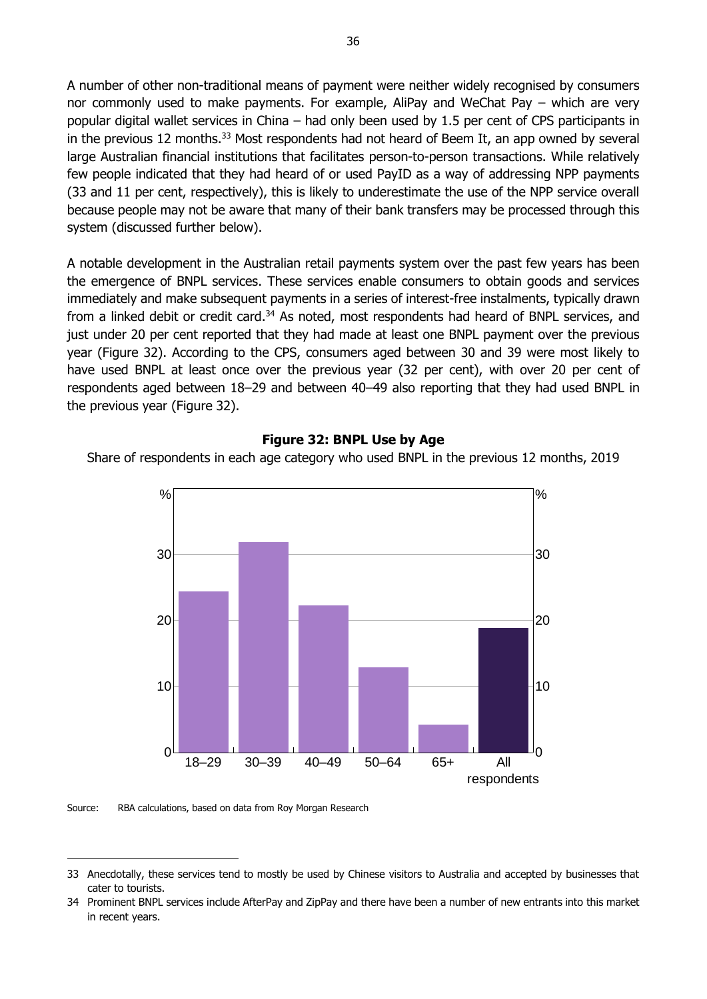A number of other non-traditional means of payment were neither widely recognised by consumers nor commonly used to make payments. For example, AliPay and WeChat Pay – which are very popular digital wallet services in China – had only been used by 1.5 per cent of CPS participants in in the previous 12 months.<sup>33</sup> Most respondents had not heard of Beem It, an app owned by several large Australian financial institutions that facilitates person-to-person transactions. While relatively few people indicated that they had heard of or used PayID as a way of addressing NPP payments (33 and 11 per cent, respectively), this is likely to underestimate the use of the NPP service overall because people may not be aware that many of their bank transfers may be processed through this system (discussed further below).

A notable development in the Australian retail payments system over the past few years has been the emergence of BNPL services. These services enable consumers to obtain goods and services immediately and make subsequent payments in a series of interest-free instalments, typically drawn from a linked debit or credit card.<sup>34</sup> As noted, most respondents had heard of BNPL services, and just under 20 per cent reported that they had made at least one BNPL payment over the previous year (Figure 32). According to the CPS, consumers aged between 30 and 39 were most likely to have used BNPL at least once over the previous year (32 per cent), with over 20 per cent of respondents aged between 18–29 and between 40–49 also reporting that they had used BNPL in the previous year (Figure 32).

#### **Figure 32: BNPL Use by Age**

Share of respondents in each age category who used BNPL in the previous 12 months, 2019



Source: RBA calculations, based on data from Roy Morgan Research

-

<sup>33</sup> Anecdotally, these services tend to mostly be used by Chinese visitors to Australia and accepted by businesses that cater to tourists.

<sup>34</sup> Prominent BNPL services include AfterPay and ZipPay and there have been a number of new entrants into this market in recent years.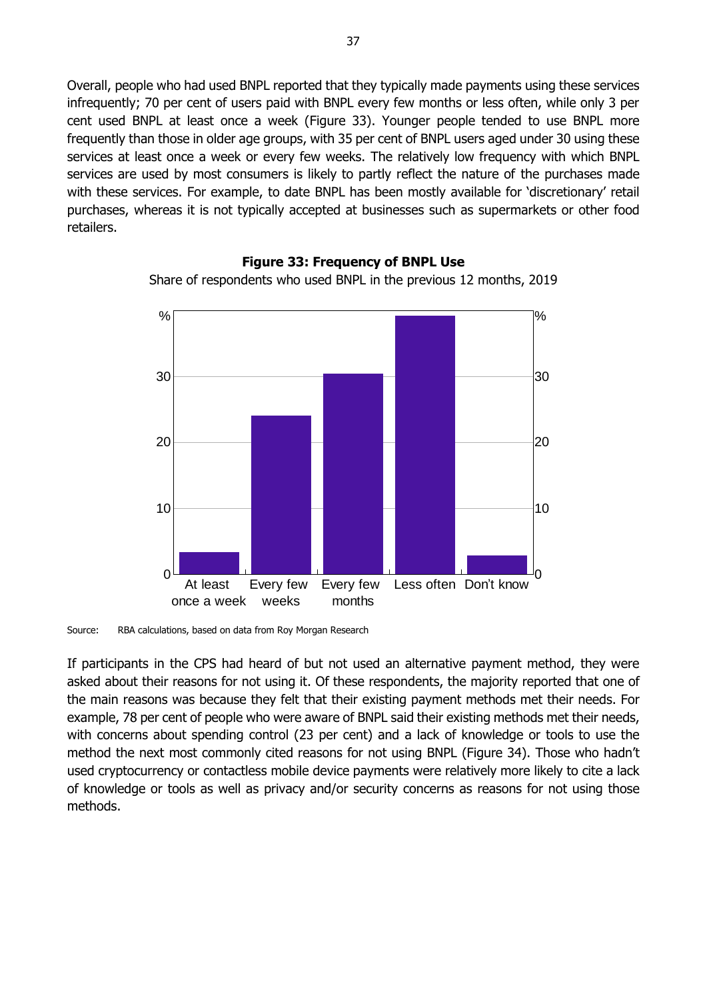Overall, people who had used BNPL reported that they typically made payments using these services infrequently; 70 per cent of users paid with BNPL every few months or less often, while only 3 per cent used BNPL at least once a week (Figure 33). Younger people tended to use BNPL more frequently than those in older age groups, with 35 per cent of BNPL users aged under 30 using these services at least once a week or every few weeks. The relatively low frequency with which BNPL services are used by most consumers is likely to partly reflect the nature of the purchases made with these services. For example, to date BNPL has been mostly available for 'discretionary' retail purchases, whereas it is not typically accepted at businesses such as supermarkets or other food retailers.



**Figure 33: Frequency of BNPL Use**

Share of respondents who used BNPL in the previous 12 months, 2019

Source: RBA calculations, based on data from Roy Morgan Research

If participants in the CPS had heard of but not used an alternative payment method, they were asked about their reasons for not using it. Of these respondents, the majority reported that one of the main reasons was because they felt that their existing payment methods met their needs. For example, 78 per cent of people who were aware of BNPL said their existing methods met their needs, with concerns about spending control (23 per cent) and a lack of knowledge or tools to use the method the next most commonly cited reasons for not using BNPL (Figure 34). Those who hadn't used cryptocurrency or contactless mobile device payments were relatively more likely to cite a lack of knowledge or tools as well as privacy and/or security concerns as reasons for not using those methods.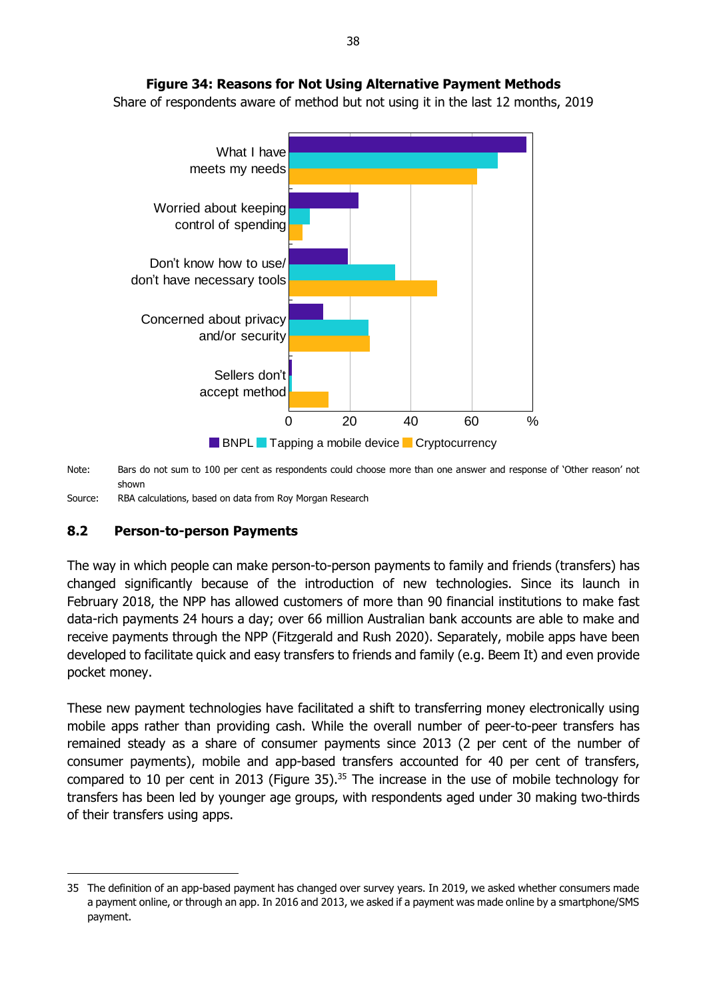

Share of respondents aware of method but not using it in the last 12 months, 2019



Note: Bars do not sum to 100 per cent as respondents could choose more than one answer and response of 'Other reason' not shown

Source: RBA calculations, based on data from Roy Morgan Research

### <span id="page-43-0"></span>**8.2 Person-to-person Payments**

-

The way in which people can make person-to-person payments to family and friends (transfers) has changed significantly because of the introduction of new technologies. Since its launch in February 2018, the NPP has allowed customers of more than 90 financial institutions to make fast data-rich payments 24 hours a day; over 66 million Australian bank accounts are able to make and receive payments through the NPP (Fitzgerald and Rush 2020). Separately, mobile apps have been developed to facilitate quick and easy transfers to friends and family (e.g. Beem It) and even provide pocket money.

These new payment technologies have facilitated a shift to transferring money electronically using mobile apps rather than providing cash. While the overall number of peer-to-peer transfers has remained steady as a share of consumer payments since 2013 (2 per cent of the number of consumer payments), mobile and app-based transfers accounted for 40 per cent of transfers, compared to 10 per cent in 2013 (Figure 35).<sup>35</sup> The increase in the use of mobile technology for transfers has been led by younger age groups, with respondents aged under 30 making two-thirds of their transfers using apps.

<sup>35</sup> The definition of an app-based payment has changed over survey years. In 2019, we asked whether consumers made a payment online, or through an app. In 2016 and 2013, we asked if a payment was made online by a smartphone/SMS payment.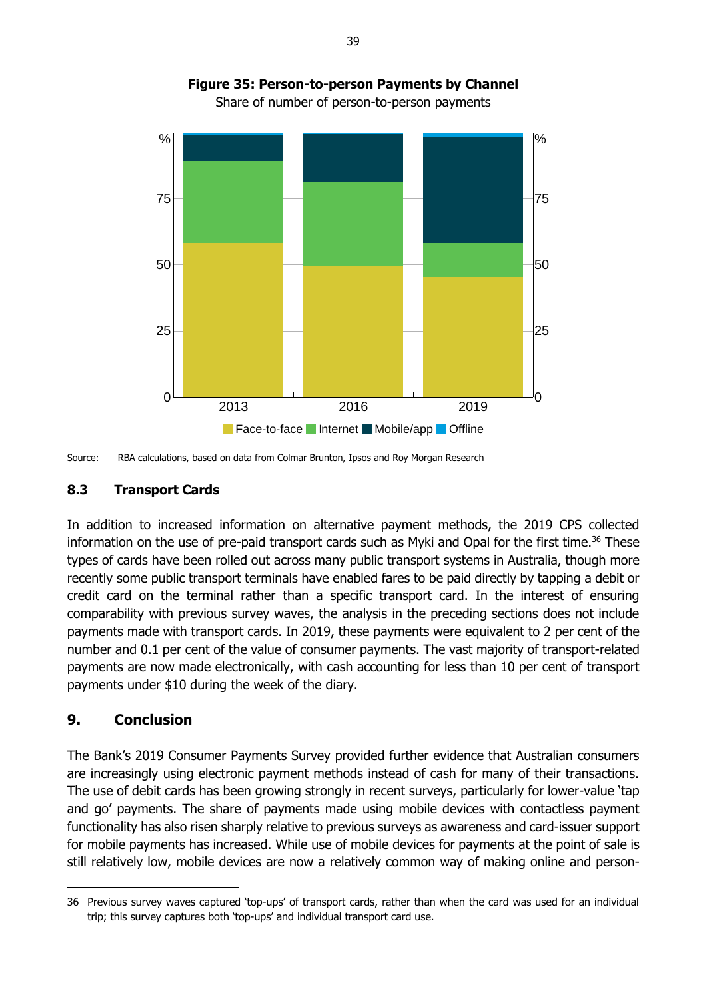



#### <span id="page-44-0"></span>**8.3 Transport Cards**

In addition to increased information on alternative payment methods, the 2019 CPS collected information on the use of pre-paid transport cards such as Myki and Opal for the first time.<sup>36</sup> These types of cards have been rolled out across many public transport systems in Australia, though more recently some public transport terminals have enabled fares to be paid directly by tapping a debit or credit card on the terminal rather than a specific transport card. In the interest of ensuring comparability with previous survey waves, the analysis in the preceding sections does not include payments made with transport cards. In 2019, these payments were equivalent to 2 per cent of the number and 0.1 per cent of the value of consumer payments. The vast majority of transport-related payments are now made electronically, with cash accounting for less than 10 per cent of transport payments under \$10 during the week of the diary.

### <span id="page-44-1"></span>**9. Conclusion**

-

The Bank's 2019 Consumer Payments Survey provided further evidence that Australian consumers are increasingly using electronic payment methods instead of cash for many of their transactions. The use of debit cards has been growing strongly in recent surveys, particularly for lower-value 'tap and go' payments. The share of payments made using mobile devices with contactless payment functionality has also risen sharply relative to previous surveys as awareness and card-issuer support for mobile payments has increased. While use of mobile devices for payments at the point of sale is still relatively low, mobile devices are now a relatively common way of making online and person-

Source: RBA calculations, based on data from Colmar Brunton, Ipsos and Roy Morgan Research

<sup>36</sup> Previous survey waves captured 'top-ups' of transport cards, rather than when the card was used for an individual trip; this survey captures both 'top-ups' and individual transport card use.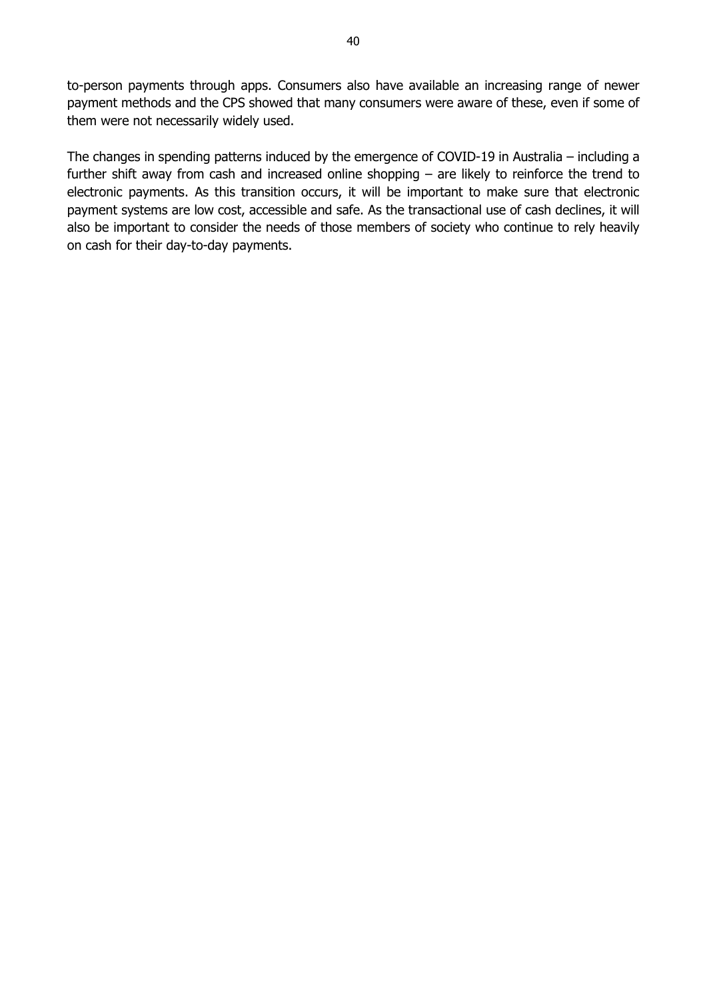to-person payments through apps. Consumers also have available an increasing range of newer payment methods and the CPS showed that many consumers were aware of these, even if some of them were not necessarily widely used.

The changes in spending patterns induced by the emergence of COVID-19 in Australia – including a further shift away from cash and increased online shopping – are likely to reinforce the trend to electronic payments. As this transition occurs, it will be important to make sure that electronic payment systems are low cost, accessible and safe. As the transactional use of cash declines, it will also be important to consider the needs of those members of society who continue to rely heavily on cash for their day-to-day payments.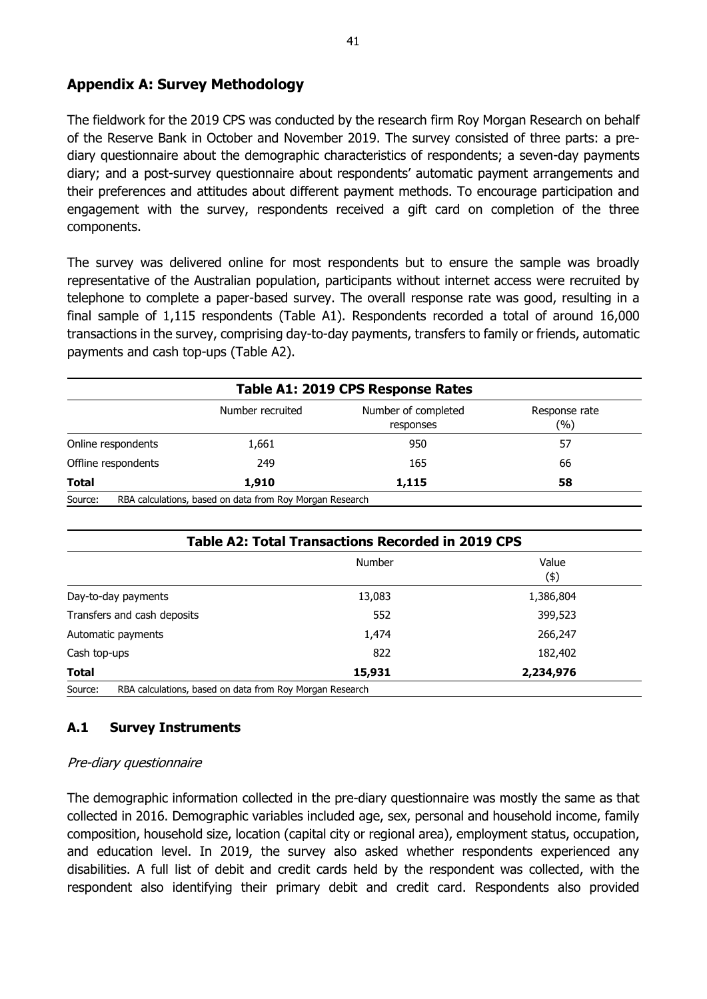### <span id="page-46-0"></span>**Appendix A: Survey Methodology**

The fieldwork for the 2019 CPS was conducted by the research firm Roy Morgan Research on behalf of the Reserve Bank in October and November 2019. The survey consisted of three parts: a prediary questionnaire about the demographic characteristics of respondents; a seven-day payments diary; and a post-survey questionnaire about respondents' automatic payment arrangements and their preferences and attitudes about different payment methods. To encourage participation and engagement with the survey, respondents received a gift card on completion of the three components.

The survey was delivered online for most respondents but to ensure the sample was broadly representative of the Australian population, participants without internet access were recruited by telephone to complete a paper-based survey. The overall response rate was good, resulting in a final sample of 1,115 respondents (Table A1). Respondents recorded a total of around 16,000 transactions in the survey, comprising day-to-day payments, transfers to family or friends, automatic payments and cash top-ups (Table A2).

| Table A1: 2019 CPS Response Rates |                                                          |                                  |                      |  |  |  |  |
|-----------------------------------|----------------------------------------------------------|----------------------------------|----------------------|--|--|--|--|
|                                   | Number recruited                                         | Number of completed<br>responses | Response rate<br>(%) |  |  |  |  |
| Online respondents                | 1,661                                                    | 950                              | 57                   |  |  |  |  |
| Offline respondents               | 249                                                      | 165                              | 66                   |  |  |  |  |
| <b>Total</b>                      | 1,910                                                    | 1,115                            | 58                   |  |  |  |  |
| Source:                           | RBA calculations, based on data from Roy Morgan Research |                                  |                      |  |  |  |  |

| <b>Table A2: Total Transactions Recorded in 2019 CPS</b>            |               |              |  |  |  |  |
|---------------------------------------------------------------------|---------------|--------------|--|--|--|--|
|                                                                     | <b>Number</b> | Value<br>(4) |  |  |  |  |
| Day-to-day payments                                                 | 13,083        | 1,386,804    |  |  |  |  |
| Transfers and cash deposits                                         | 552           | 399,523      |  |  |  |  |
| Automatic payments                                                  | 1,474         | 266,247      |  |  |  |  |
| Cash top-ups                                                        | 822           | 182,402      |  |  |  |  |
| Total                                                               | 15,931        | 2,234,976    |  |  |  |  |
| Source:<br>RBA calculations, based on data from Roy Morgan Research |               |              |  |  |  |  |

### **A.1 Survey Instruments**

#### Pre-diary questionnaire

The demographic information collected in the pre-diary questionnaire was mostly the same as that collected in 2016. Demographic variables included age, sex, personal and household income, family composition, household size, location (capital city or regional area), employment status, occupation, and education level. In 2019, the survey also asked whether respondents experienced any disabilities. A full list of debit and credit cards held by the respondent was collected, with the respondent also identifying their primary debit and credit card. Respondents also provided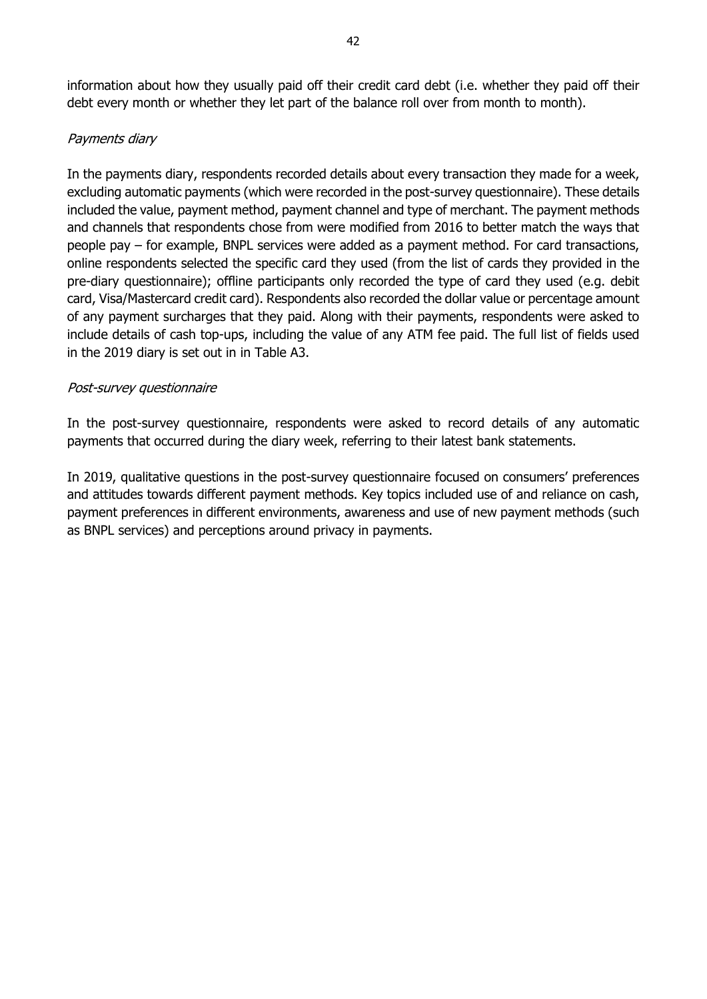information about how they usually paid off their credit card debt (i.e. whether they paid off their debt every month or whether they let part of the balance roll over from month to month).

### Payments diary

In the payments diary, respondents recorded details about every transaction they made for a week, excluding automatic payments (which were recorded in the post-survey questionnaire). These details included the value, payment method, payment channel and type of merchant. The payment methods and channels that respondents chose from were modified from 2016 to better match the ways that people pay – for example, BNPL services were added as a payment method. For card transactions, online respondents selected the specific card they used (from the list of cards they provided in the pre-diary questionnaire); offline participants only recorded the type of card they used (e.g. debit card, Visa/Mastercard credit card). Respondents also recorded the dollar value or percentage amount of any payment surcharges that they paid. Along with their payments, respondents were asked to include details of cash top-ups, including the value of any ATM fee paid. The full list of fields used in the 2019 diary is set out in in Table A3.

#### Post-survey questionnaire

In the post-survey questionnaire, respondents were asked to record details of any automatic payments that occurred during the diary week, referring to their latest bank statements.

In 2019, qualitative questions in the post-survey questionnaire focused on consumers' preferences and attitudes towards different payment methods. Key topics included use of and reliance on cash, payment preferences in different environments, awareness and use of new payment methods (such as BNPL services) and perceptions around privacy in payments.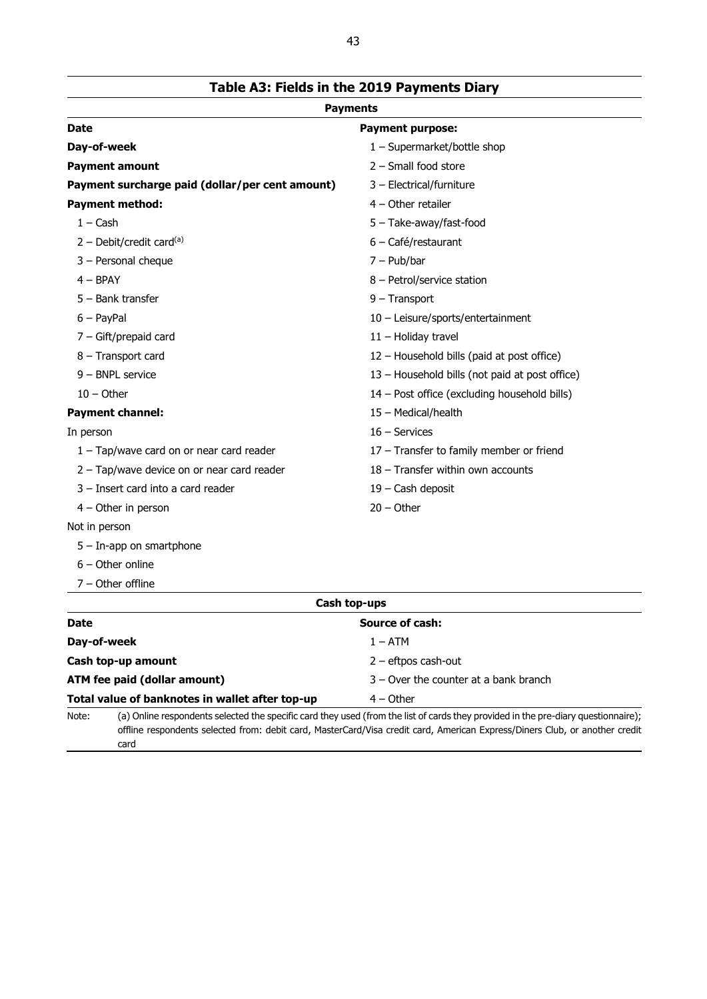| <b>Payments</b>                                 |                                                |  |  |  |  |  |
|-------------------------------------------------|------------------------------------------------|--|--|--|--|--|
| <b>Date</b>                                     | <b>Payment purpose:</b>                        |  |  |  |  |  |
| Day-of-week                                     | 1 - Supermarket/bottle shop                    |  |  |  |  |  |
| <b>Payment amount</b>                           | $2$ – Small food store                         |  |  |  |  |  |
| Payment surcharge paid (dollar/per cent amount) | 3 - Electrical/furniture                       |  |  |  |  |  |
| <b>Payment method:</b>                          | $4 -$ Other retailer                           |  |  |  |  |  |
| $1 - Cash$                                      | 5 - Take-away/fast-food                        |  |  |  |  |  |
| 2 - Debit/credit card $(a)$                     | 6 - Café/restaurant                            |  |  |  |  |  |
| 3 - Personal cheque                             | $7 - Pub/bar$                                  |  |  |  |  |  |
| $4 - BPAY$                                      | 8 - Petrol/service station                     |  |  |  |  |  |
| $5 -$ Bank transfer                             | $9 -$ Transport                                |  |  |  |  |  |
| $6 - PayPal$                                    | 10 - Leisure/sports/entertainment              |  |  |  |  |  |
| $7 -$ Gift/prepaid card                         | 11 - Holiday travel                            |  |  |  |  |  |
| 8 - Transport card                              | 12 - Household bills (paid at post office)     |  |  |  |  |  |
| 9 - BNPL service                                | 13 - Household bills (not paid at post office) |  |  |  |  |  |
| $10 -$ Other                                    | 14 - Post office (excluding household bills)   |  |  |  |  |  |
| <b>Payment channel:</b>                         | 15 - Medical/health                            |  |  |  |  |  |
| In person                                       | $16 -$ Services                                |  |  |  |  |  |
| 1 - Tap/wave card on or near card reader        | 17 - Transfer to family member or friend       |  |  |  |  |  |
| 2 - Tap/wave device on or near card reader      | 18 - Transfer within own accounts              |  |  |  |  |  |
| 3 - Insert card into a card reader              | 19 - Cash deposit                              |  |  |  |  |  |
| $4 -$ Other in person                           | $20 - Other$                                   |  |  |  |  |  |
| Not in person                                   |                                                |  |  |  |  |  |
| $5 - In$ -app on smartphone                     |                                                |  |  |  |  |  |
| $6 -$ Other online                              |                                                |  |  |  |  |  |

**Cash top-ups**

Note: (a) Online respondents selected the specific card they used (from the list of cards they provided in the pre-diary questionnaire);

offline respondents selected from: debit card, MasterCard/Visa credit card, American Express/Diners Club, or another credit

**Date Source of cash:** 

**Cash top-up amount Cash top-up amount 2** – eftpos cash-out

**ATM fee paid (dollar amount)** 3 – Over the counter at a bank branch

**Day-of-week** 1 – ATM

**Total value of banknotes in wallet after top-up** 4 – Other

7 – Other offline

card

**Table A3: Fields in the 2019 Payments Diary**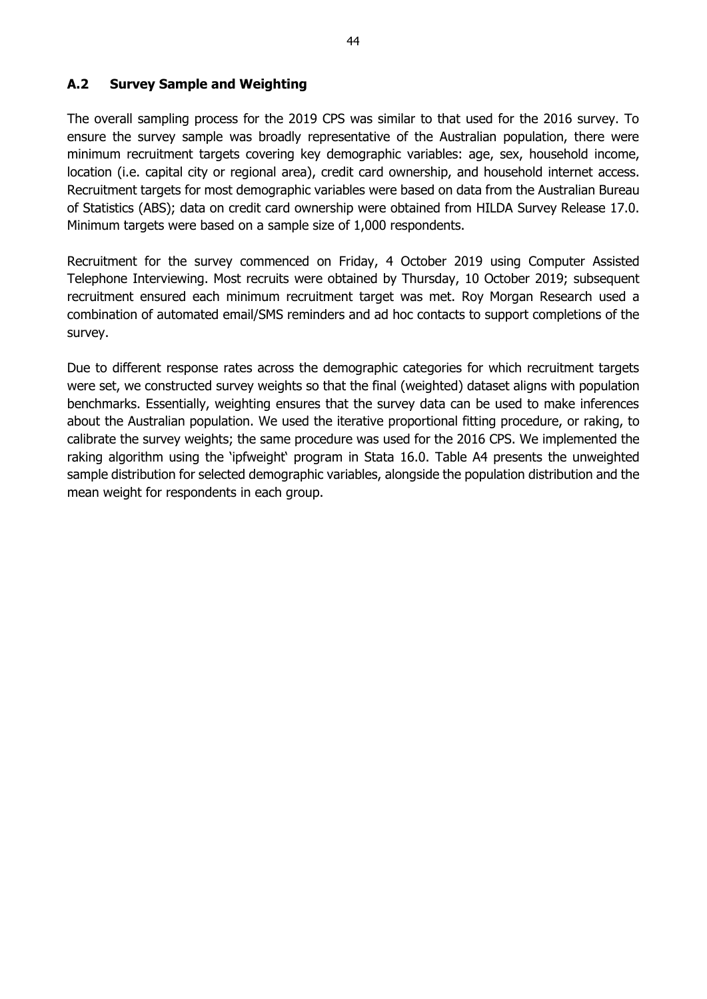### **A.2 Survey Sample and Weighting**

The overall sampling process for the 2019 CPS was similar to that used for the 2016 survey. To ensure the survey sample was broadly representative of the Australian population, there were minimum recruitment targets covering key demographic variables: age, sex, household income, location (i.e. capital city or regional area), credit card ownership, and household internet access. Recruitment targets for most demographic variables were based on data from the Australian Bureau of Statistics (ABS); data on credit card ownership were obtained from HILDA Survey Release 17.0. Minimum targets were based on a sample size of 1,000 respondents.

Recruitment for the survey commenced on Friday, 4 October 2019 using Computer Assisted Telephone Interviewing. Most recruits were obtained by Thursday, 10 October 2019; subsequent recruitment ensured each minimum recruitment target was met. Roy Morgan Research used a combination of automated email/SMS reminders and ad hoc contacts to support completions of the survey.

Due to different response rates across the demographic categories for which recruitment targets were set, we constructed survey weights so that the final (weighted) dataset aligns with population benchmarks. Essentially, weighting ensures that the survey data can be used to make inferences about the Australian population. We used the iterative proportional fitting procedure, or raking, to calibrate the survey weights; the same procedure was used for the 2016 CPS. We implemented the raking algorithm using the 'ipfweight' program in Stata 16.0. Table A4 presents the unweighted sample distribution for selected demographic variables, alongside the population distribution and the mean weight for respondents in each group.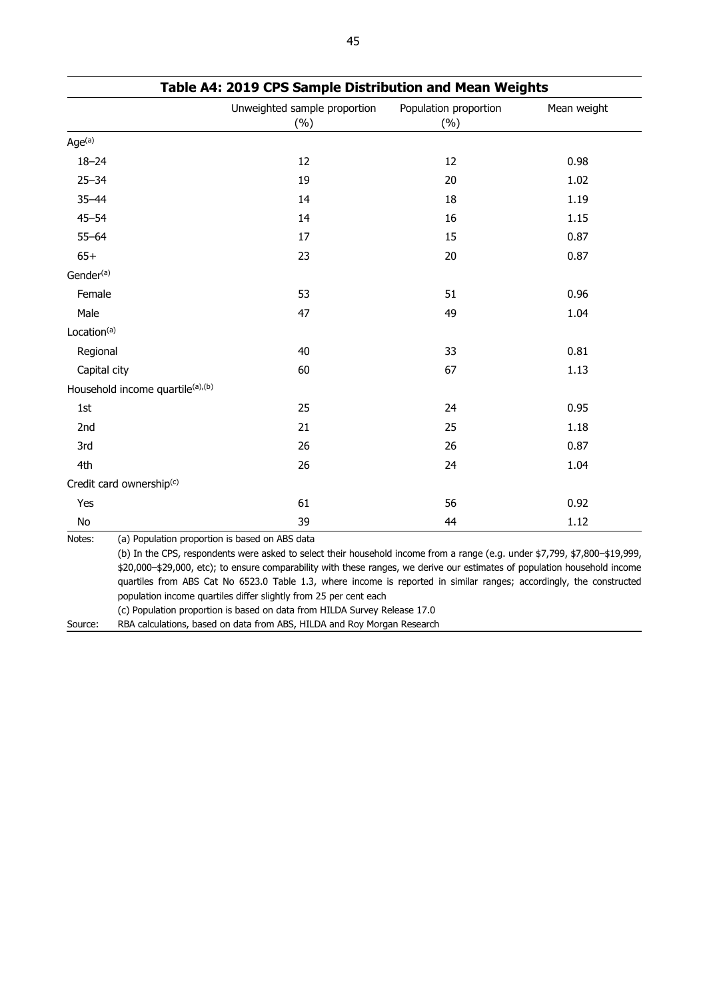|                                  | Unweighted sample proportion<br>(%) | Population proportion<br>(%) | Mean weight |
|----------------------------------|-------------------------------------|------------------------------|-------------|
| Age <sup>(a)</sup>               |                                     |                              |             |
| $18 - 24$                        | 12                                  | 12                           | 0.98        |
| $25 - 34$                        | 19                                  | 20                           | 1.02        |
| $35 - 44$                        | 14                                  | 18                           | 1.19        |
| $45 - 54$                        | 14                                  | 16                           | 1.15        |
| $55 - 64$                        | 17                                  | 15                           | 0.87        |
| $65+$                            | 23                                  | 20                           | 0.87        |
| Gender <sup>(a)</sup>            |                                     |                              |             |
| Female                           | 53                                  | 51                           | 0.96        |
| Male                             | 47                                  | 49                           | 1.04        |
| Location <sup>(a)</sup>          |                                     |                              |             |
| Regional                         | 40                                  | 33                           | 0.81        |
| Capital city                     | 60                                  | 67                           | 1.13        |
| Household income quartile(a),(b) |                                     |                              |             |
| 1st                              | 25                                  | 24                           | 0.95        |
| 2nd                              | 21                                  | 25                           | 1.18        |
| 3rd                              | 26                                  | 26                           | 0.87        |
| 4th                              | 26                                  | 24                           | 1.04        |
| Credit card ownership(c)         |                                     |                              |             |
| Yes                              | 61                                  | 56                           | 0.92        |
| No                               | 39                                  | 44                           | 1.12        |

|  | Table A4: 2019 CPS Sample Distribution and Mean Weights |  |  |
|--|---------------------------------------------------------|--|--|
|--|---------------------------------------------------------|--|--|

(c) Population proportion is based on data from HILDA Survey Release 17.0

Source: RBA calculations, based on data from ABS, HILDA and Roy Morgan Research

population income quartiles differ slightly from 25 per cent each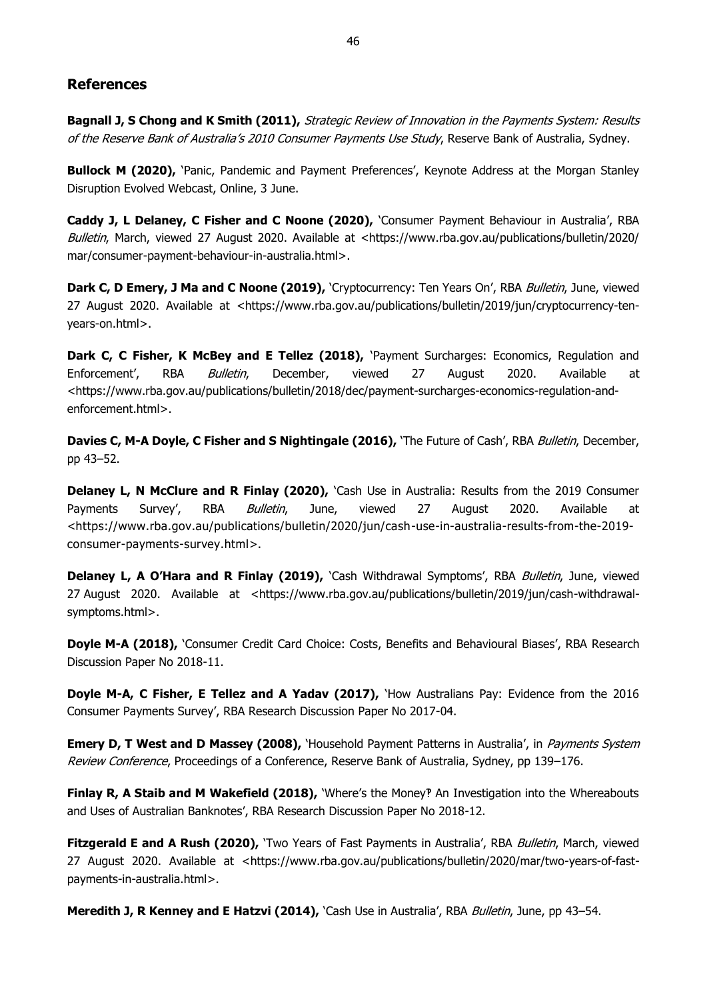### <span id="page-51-0"></span>**References**

**Bagnall J, S Chong and K Smith (2011),** Strategic Review of Innovation in the Payments System: Results of the Reserve Bank of Australia's 2010 Consumer Payments Use Study, Reserve Bank of Australia, Sydney.

**Bullock M (2020),** 'Panic, Pandemic and Payment Preferences', Keynote Address at the Morgan Stanley Disruption Evolved Webcast, Online, 3 June.

**Caddy J, L Delaney, C Fisher and C Noone (2020),** 'Consumer Payment Behaviour in Australia', RBA Bulletin, March, viewed 27 August 2020. Available at <https://www.rba.gov.au/publications/bulletin/2020/ mar/consumer-payment-behaviour-in-australia.html>.

Dark C, D Emery, J Ma and C Noone (2019), 'Cryptocurrency: Ten Years On', RBA *Bulletin*, June, viewed 27 August 2020. Available at <https://www.rba.gov.au/publications/bulletin/2019/jun/cryptocurrency-tenyears-on.html>.

**Dark C, C Fisher, K McBey and E Tellez (2018),** 'Payment Surcharges: Economics, Regulation and Enforcement', RBA Bulletin, December, viewed 27 August 2020. Available at <https://www.rba.gov.au/publications/bulletin/2018/dec/payment-surcharges-economics-regulation-andenforcement.html>.

**Davies C, M-A Doyle, C Fisher and S Nightingale (2016),** 'The Future of Cash', RBA *Bulletin*, December, pp 43–52.

**Delaney L, N McClure and R Finlay (2020),** *Cash Use in Australia: Results from the 2019 Consumer* Payments Survey', RBA *Bulletin*, June, viewed 27 August 2020. Available at <https://www.rba.gov.au/publications/bulletin/2020/jun/cash-use-in-australia-results-from-the-2019 consumer-payments-survey.html>.

Delaney L, A O'Hara and R Finlay (2019), 'Cash Withdrawal Symptoms', RBA Bulletin, June, viewed 27 August 2020. Available at <https://www.rba.gov.au/publications/bulletin/2019/jun/cash-withdrawalsymptoms.html>.

**Doyle M-A (2018), 'Consumer Credit Card Choice: Costs, Benefits and Behavioural Biases', RBA Research** Discussion Paper No 2018-11.

**Doyle M-A, C Fisher, E Tellez and A Yadav (2017),** 'How Australians Pay: Evidence from the 2016 Consumer Payments Survey', RBA Research Discussion Paper No 2017-04.

**Emery D, T West and D Massey (2008),** 'Household Payment Patterns in Australia', in *Payments System* Review Conference, Proceedings of a Conference, Reserve Bank of Australia, Sydney, pp 139–176.

**Finlay R, A Staib and M Wakefield (2018), '**Where's the Money? An Investigation into the Whereabouts and Uses of Australian Banknotes', RBA Research Discussion Paper No 2018-12.

**Fitzgerald E and A Rush (2020),** 'Two Years of Fast Payments in Australia', RBA Bulletin, March, viewed 27 August 2020. Available at <https://www.rba.gov.au/publications/bulletin/2020/mar/two-years-of-fastpayments-in-australia.html>.

**Meredith J, R Kenney and E Hatzvi (2014),** 'Cash Use in Australia', RBA Bulletin, June, pp 43–54.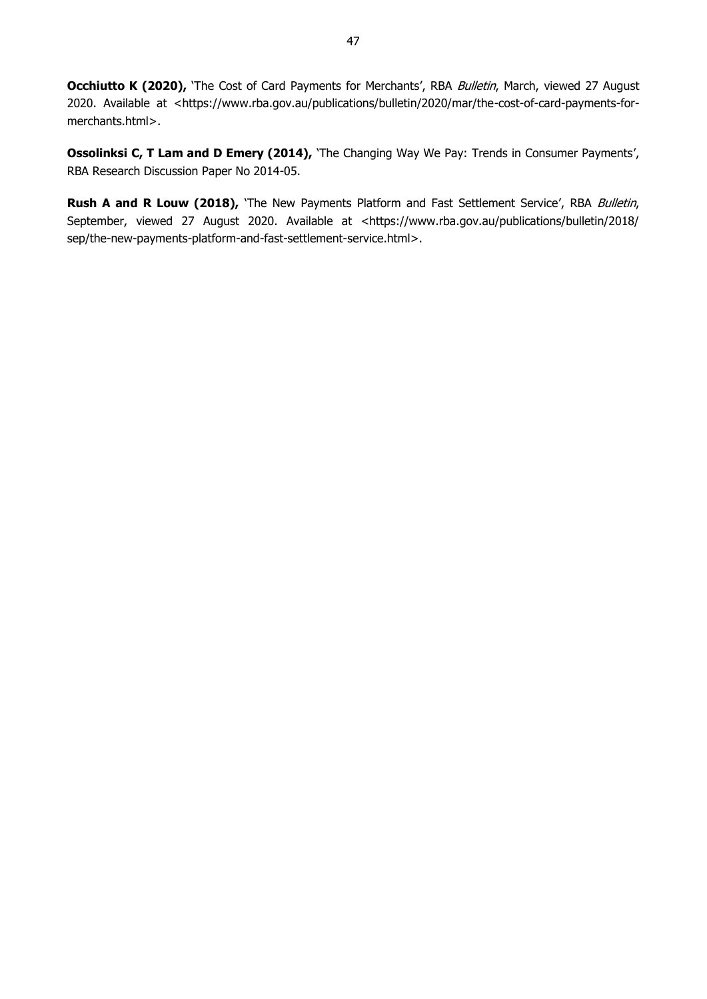**Occhiutto K (2020),** 'The Cost of Card Payments for Merchants', RBA Bulletin, March, viewed 27 August 2020. Available at <https://www.rba.gov.au/publications/bulletin/2020/mar/the-cost-of-card-payments-formerchants.html>.

**Ossolinksi C, T Lam and D Emery (2014),** 'The Changing Way We Pay: Trends in Consumer Payments', RBA Research Discussion Paper No 2014-05.

Rush A and R Louw (2018), 'The New Payments Platform and Fast Settlement Service', RBA Bulletin, September, viewed 27 August 2020. Available at <https://www.rba.gov.au/publications/bulletin/2018/ sep/the-new-payments-platform-and-fast-settlement-service.html>.